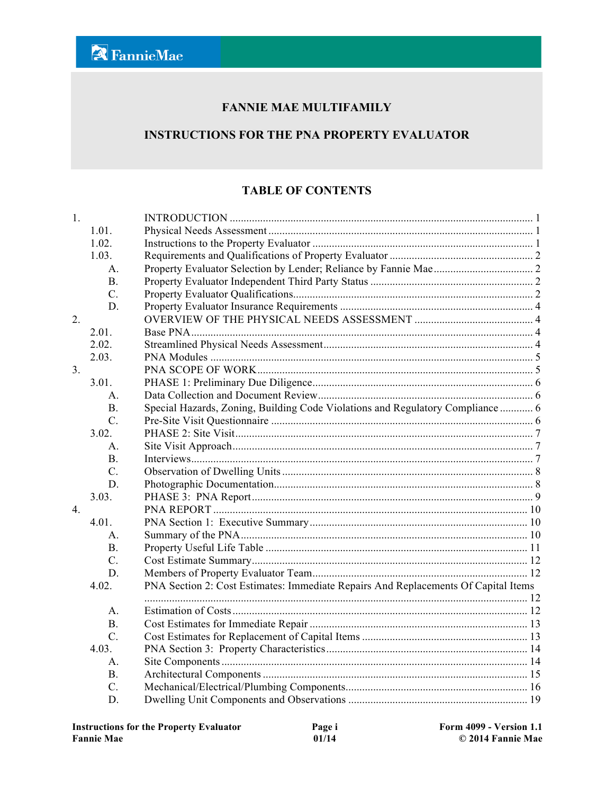#### **FANNIE MAE MULTIFAMILY**

#### **INSTRUCTIONS FOR THE PNA PROPERTY EVALUATOR**

#### **TABLE OF CONTENTS**

| 1.             |                  |                                                                                    |  |
|----------------|------------------|------------------------------------------------------------------------------------|--|
|                | 1.01.            |                                                                                    |  |
|                | 1.02.            |                                                                                    |  |
|                | 1.03.            |                                                                                    |  |
|                | $\mathsf{A}$     |                                                                                    |  |
|                | <b>B.</b>        |                                                                                    |  |
|                | $C$ .            |                                                                                    |  |
|                | D.               |                                                                                    |  |
| 2.             |                  |                                                                                    |  |
|                | 2.01.            |                                                                                    |  |
|                | 2.02.            |                                                                                    |  |
|                | 2.03.            |                                                                                    |  |
| 3 <sub>1</sub> |                  |                                                                                    |  |
|                | 3.01.            |                                                                                    |  |
|                | A.               |                                                                                    |  |
|                | <b>B.</b>        | Special Hazards, Zoning, Building Code Violations and Regulatory Compliance  6     |  |
|                | $\overline{C}$ . |                                                                                    |  |
|                | 3.02.            |                                                                                    |  |
|                | $\mathsf{A}$ .   |                                                                                    |  |
|                | B <sub>1</sub>   |                                                                                    |  |
|                | $\mathcal{C}$ .  |                                                                                    |  |
|                | D.               |                                                                                    |  |
|                | 3.03.            |                                                                                    |  |
| $\overline{4}$ |                  |                                                                                    |  |
|                | 4.01.            |                                                                                    |  |
|                | $A_{\cdot}$      |                                                                                    |  |
|                | <b>B.</b>        |                                                                                    |  |
|                | $\overline{C}$ . |                                                                                    |  |
|                | D.               |                                                                                    |  |
|                | 4.02.            | PNA Section 2: Cost Estimates: Immediate Repairs And Replacements Of Capital Items |  |
|                |                  |                                                                                    |  |
|                | A.               |                                                                                    |  |
|                | <b>B.</b>        |                                                                                    |  |
|                | $\overline{C}$ . |                                                                                    |  |
|                | 4.03.            |                                                                                    |  |
|                | A.               |                                                                                    |  |
|                | B <sub>1</sub>   |                                                                                    |  |
|                | $C_{\cdot}$      |                                                                                    |  |
|                | D.               |                                                                                    |  |
|                |                  |                                                                                    |  |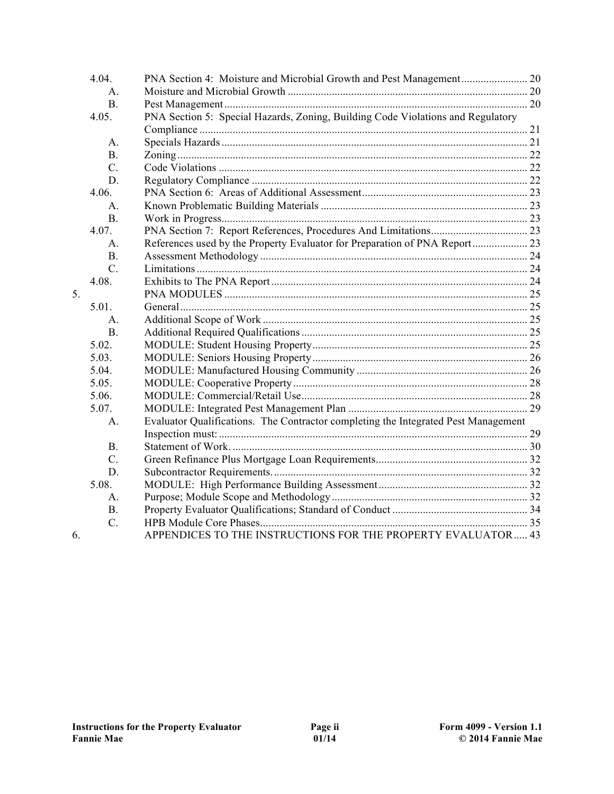|    | 4.04.            |                                                                                    |  |
|----|------------------|------------------------------------------------------------------------------------|--|
|    | $A_{\cdot}$      |                                                                                    |  |
|    | <b>B.</b>        |                                                                                    |  |
|    | 4.05.            | PNA Section 5: Special Hazards, Zoning, Building Code Violations and Regulatory    |  |
|    |                  |                                                                                    |  |
|    | A.               |                                                                                    |  |
|    | B.               |                                                                                    |  |
|    | $\overline{C}$ . |                                                                                    |  |
|    | D.               |                                                                                    |  |
|    | 4.06.            |                                                                                    |  |
|    | $\mathsf{A}$     |                                                                                    |  |
|    | <b>B.</b>        |                                                                                    |  |
|    | 4.07.            |                                                                                    |  |
|    | $\mathsf{A}$ .   | References used by the Property Evaluator for Preparation of PNA Report 23         |  |
|    | B.               |                                                                                    |  |
|    | $\mathcal{C}$ .  |                                                                                    |  |
|    | 4.08.            |                                                                                    |  |
| 5. |                  |                                                                                    |  |
|    | 5.01.            |                                                                                    |  |
|    | A.               |                                                                                    |  |
|    | <b>B.</b>        |                                                                                    |  |
|    | 5.02.            |                                                                                    |  |
|    | 5.03.            |                                                                                    |  |
|    | 5.04             |                                                                                    |  |
|    | 5.05.            |                                                                                    |  |
|    | 5.06.            |                                                                                    |  |
|    | 5.07.            |                                                                                    |  |
|    | $A_{-}$          | Evaluator Qualifications. The Contractor completing the Integrated Pest Management |  |
|    |                  |                                                                                    |  |
|    | B.               |                                                                                    |  |
|    | $C$ .            |                                                                                    |  |
|    | D.               |                                                                                    |  |
|    | 5.08.            |                                                                                    |  |
|    | А.               |                                                                                    |  |
|    | <b>B.</b>        |                                                                                    |  |
|    | $C$ .            |                                                                                    |  |
| 6. |                  | APPENDICES TO THE INSTRUCTIONS FOR THE PROPERTY EVALUATOR 43                       |  |
|    |                  |                                                                                    |  |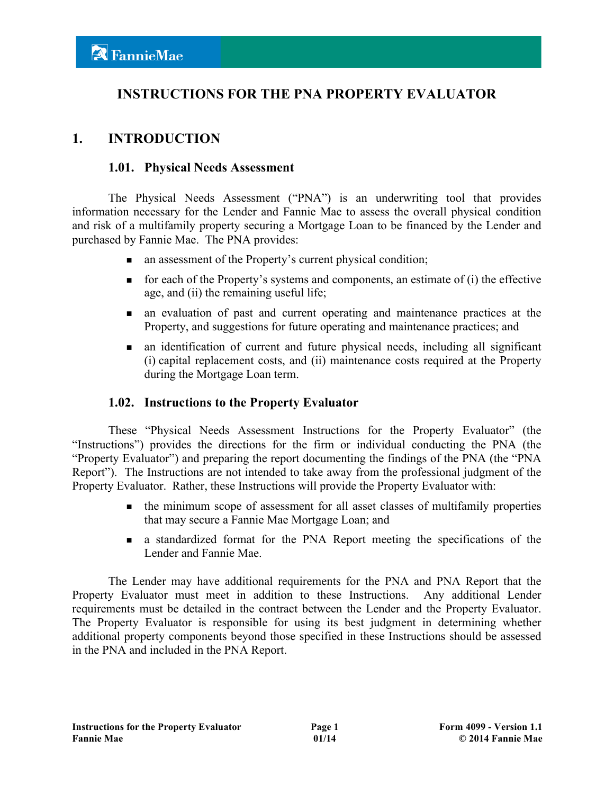# **INSTRUCTIONS FOR THE PNA PROPERTY EVALUATOR**

# **1. INTRODUCTION**

#### **1.01. Physical Needs Assessment**

The Physical Needs Assessment ("PNA") is an underwriting tool that provides information necessary for the Lender and Fannie Mae to assess the overall physical condition and risk of a multifamily property securing a Mortgage Loan to be financed by the Lender and purchased by Fannie Mae. The PNA provides:

- n an assessment of the Property's current physical condition;
- $\blacksquare$  for each of the Property's systems and components, an estimate of (i) the effective age, and (ii) the remaining useful life;
- n an evaluation of past and current operating and maintenance practices at the Property, and suggestions for future operating and maintenance practices; and
- n an identification of current and future physical needs, including all significant (i) capital replacement costs, and (ii) maintenance costs required at the Property during the Mortgage Loan term.

## **1.02. Instructions to the Property Evaluator**

These "Physical Needs Assessment Instructions for the Property Evaluator" (the "Instructions") provides the directions for the firm or individual conducting the PNA (the "Property Evaluator") and preparing the report documenting the findings of the PNA (the "PNA Report"). The Instructions are not intended to take away from the professional judgment of the Property Evaluator. Rather, these Instructions will provide the Property Evaluator with:

- <sup>n</sup> the minimum scope of assessment for all asset classes of multifamily properties that may secure a Fannie Mae Mortgage Loan; and
- <sup>n</sup> a standardized format for the PNA Report meeting the specifications of the Lender and Fannie Mae.

The Lender may have additional requirements for the PNA and PNA Report that the Property Evaluator must meet in addition to these Instructions. Any additional Lender requirements must be detailed in the contract between the Lender and the Property Evaluator. The Property Evaluator is responsible for using its best judgment in determining whether additional property components beyond those specified in these Instructions should be assessed in the PNA and included in the PNA Report.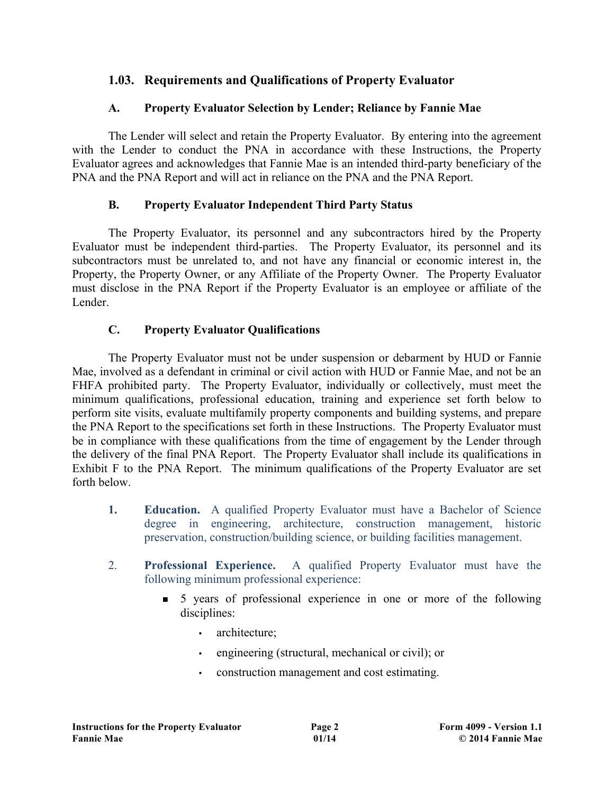# **1.03. Requirements and Qualifications of Property Evaluator**

# **A. Property Evaluator Selection by Lender; Reliance by Fannie Mae**

The Lender will select and retain the Property Evaluator. By entering into the agreement with the Lender to conduct the PNA in accordance with these Instructions, the Property Evaluator agrees and acknowledges that Fannie Mae is an intended third-party beneficiary of the PNA and the PNA Report and will act in reliance on the PNA and the PNA Report.

# **B. Property Evaluator Independent Third Party Status**

The Property Evaluator, its personnel and any subcontractors hired by the Property Evaluator must be independent third-parties. The Property Evaluator, its personnel and its subcontractors must be unrelated to, and not have any financial or economic interest in, the Property, the Property Owner, or any Affiliate of the Property Owner. The Property Evaluator must disclose in the PNA Report if the Property Evaluator is an employee or affiliate of the Lender.

# **C. Property Evaluator Qualifications**

The Property Evaluator must not be under suspension or debarment by HUD or Fannie Mae, involved as a defendant in criminal or civil action with HUD or Fannie Mae, and not be an FHFA prohibited party. The Property Evaluator, individually or collectively, must meet the minimum qualifications, professional education, training and experience set forth below to perform site visits, evaluate multifamily property components and building systems, and prepare the PNA Report to the specifications set forth in these Instructions. The Property Evaluator must be in compliance with these qualifications from the time of engagement by the Lender through the delivery of the final PNA Report. The Property Evaluator shall include its qualifications in Exhibit F to the PNA Report. The minimum qualifications of the Property Evaluator are set forth below.

- **1. Education.** A qualified Property Evaluator must have a Bachelor of Science degree in engineering, architecture, construction management, historic preservation, construction/building science, or building facilities management.
- 2. **Professional Experience.** A qualified Property Evaluator must have the following minimum professional experience:
	- <sup>n</sup> 5 years of professional experience in one or more of the following disciplines:
		- architecture:
		- engineering (structural, mechanical or civil); or
		- construction management and cost estimating.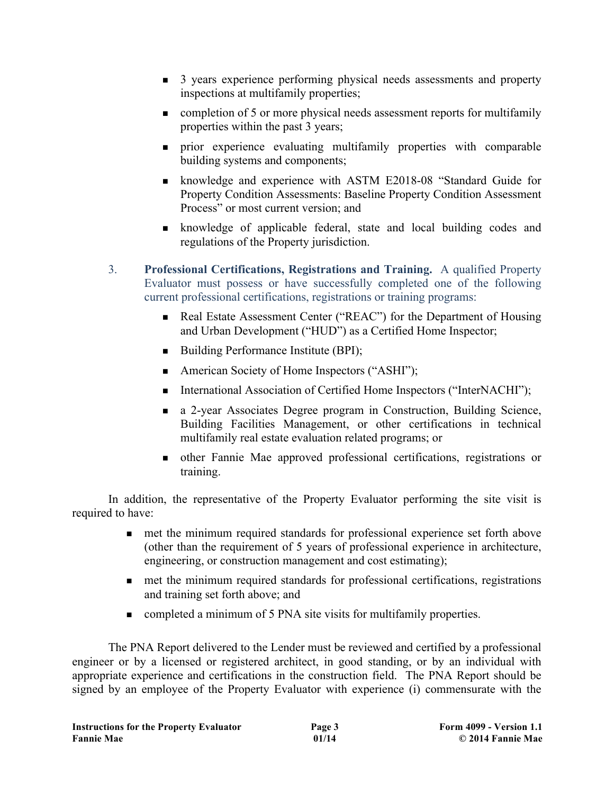- <sup>n</sup> 3 years experience performing physical needs assessments and property inspections at multifamily properties;
- <sup>n</sup> completion of 5 or more physical needs assessment reports for multifamily properties within the past 3 years;
- <sup>n</sup> prior experience evaluating multifamily properties with comparable building systems and components;
- <sup>n</sup> knowledge and experience with ASTM E2018-08 "Standard Guide for Property Condition Assessments: Baseline Property Condition Assessment Process" or most current version; and
- <sup>n</sup> knowledge of applicable federal, state and local building codes and regulations of the Property jurisdiction.
- 3. **Professional Certifications, Registrations and Training.** A qualified Property Evaluator must possess or have successfully completed one of the following current professional certifications, registrations or training programs:
	- <sup>n</sup> Real Estate Assessment Center ("REAC") for the Department of Housing and Urban Development ("HUD") as a Certified Home Inspector;
	- $\blacksquare$  Building Performance Institute (BPI);
	- American Society of Home Inspectors ("ASHI");
	- International Association of Certified Home Inspectors ("InterNACHI");
	- <sup>n</sup> a 2-year Associates Degree program in Construction, Building Science, Building Facilities Management, or other certifications in technical multifamily real estate evaluation related programs; or
	- <sup>n</sup> other Fannie Mae approved professional certifications, registrations or training.

In addition, the representative of the Property Evaluator performing the site visit is required to have:

- n met the minimum required standards for professional experience set forth above (other than the requirement of 5 years of professional experience in architecture, engineering, or construction management and cost estimating);
- n met the minimum required standards for professional certifications, registrations and training set forth above; and
- completed a minimum of 5 PNA site visits for multifamily properties.

The PNA Report delivered to the Lender must be reviewed and certified by a professional engineer or by a licensed or registered architect, in good standing, or by an individual with appropriate experience and certifications in the construction field. The PNA Report should be signed by an employee of the Property Evaluator with experience (i) commensurate with the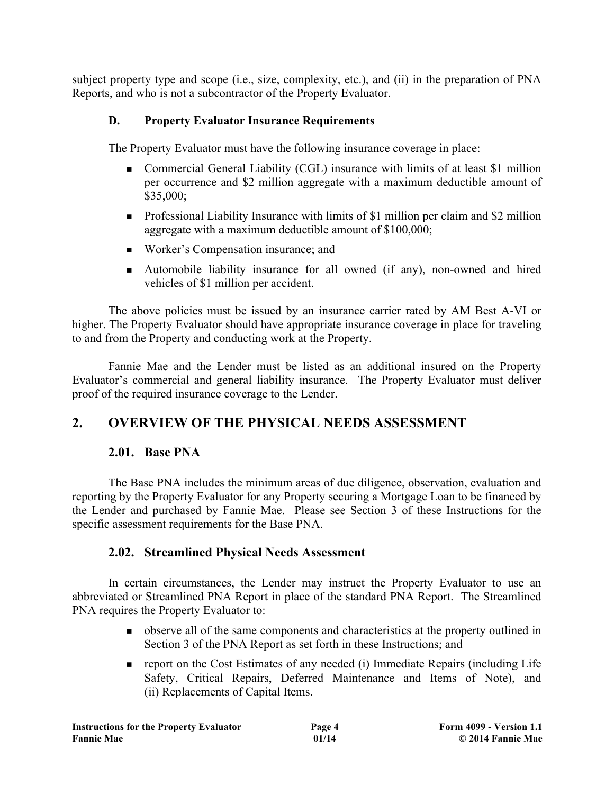subject property type and scope (i.e., size, complexity, etc.), and (ii) in the preparation of PNA Reports, and who is not a subcontractor of the Property Evaluator.

## **D. Property Evaluator Insurance Requirements**

The Property Evaluator must have the following insurance coverage in place:

- Commercial General Liability (CGL) insurance with limits of at least \$1 million per occurrence and \$2 million aggregate with a maximum deductible amount of \$35,000;
- n Professional Liability Insurance with limits of \$1 million per claim and \$2 million aggregate with a maximum deductible amount of \$100,000;
- Worker's Compensation insurance; and
- <sup>n</sup> Automobile liability insurance for all owned (if any), non-owned and hired vehicles of \$1 million per accident.

The above policies must be issued by an insurance carrier rated by AM Best A-VI or higher. The Property Evaluator should have appropriate insurance coverage in place for traveling to and from the Property and conducting work at the Property.

Fannie Mae and the Lender must be listed as an additional insured on the Property Evaluator's commercial and general liability insurance. The Property Evaluator must deliver proof of the required insurance coverage to the Lender.

# **2. OVERVIEW OF THE PHYSICAL NEEDS ASSESSMENT**

## **2.01. Base PNA**

The Base PNA includes the minimum areas of due diligence, observation, evaluation and reporting by the Property Evaluator for any Property securing a Mortgage Loan to be financed by the Lender and purchased by Fannie Mae. Please see Section 3 of these Instructions for the specific assessment requirements for the Base PNA.

## **2.02. Streamlined Physical Needs Assessment**

In certain circumstances, the Lender may instruct the Property Evaluator to use an abbreviated or Streamlined PNA Report in place of the standard PNA Report. The Streamlined PNA requires the Property Evaluator to:

- <sup>n</sup> observe all of the same components and characteristics at the property outlined in Section 3 of the PNA Report as set forth in these Instructions; and
- n report on the Cost Estimates of any needed (i) Immediate Repairs (including Life Safety, Critical Repairs, Deferred Maintenance and Items of Note), and (ii) Replacements of Capital Items.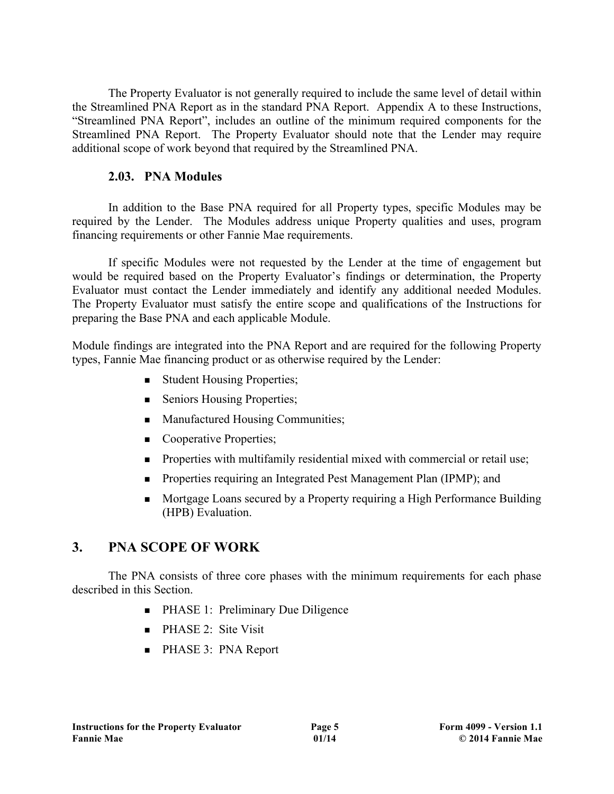The Property Evaluator is not generally required to include the same level of detail within the Streamlined PNA Report as in the standard PNA Report. Appendix A to these Instructions, "Streamlined PNA Report", includes an outline of the minimum required components for the Streamlined PNA Report. The Property Evaluator should note that the Lender may require additional scope of work beyond that required by the Streamlined PNA.

## **2.03. PNA Modules**

In addition to the Base PNA required for all Property types, specific Modules may be required by the Lender. The Modules address unique Property qualities and uses, program financing requirements or other Fannie Mae requirements.

If specific Modules were not requested by the Lender at the time of engagement but would be required based on the Property Evaluator's findings or determination, the Property Evaluator must contact the Lender immediately and identify any additional needed Modules. The Property Evaluator must satisfy the entire scope and qualifications of the Instructions for preparing the Base PNA and each applicable Module.

Module findings are integrated into the PNA Report and are required for the following Property types, Fannie Mae financing product or as otherwise required by the Lender:

- Student Housing Properties;
- Seniors Housing Properties;
- Manufactured Housing Communities;
- Cooperative Properties;
- n Properties with multifamily residential mixed with commercial or retail use;
- n Properties requiring an Integrated Pest Management Plan (IPMP); and
- <sup>n</sup> Mortgage Loans secured by a Property requiring a High Performance Building (HPB) Evaluation.

# **3. PNA SCOPE OF WORK**

The PNA consists of three core phases with the minimum requirements for each phase described in this Section.

- PHASE 1: Preliminary Due Diligence
- $\blacksquare$  PHASE 2: Site Visit
- PHASE 3: PNA Report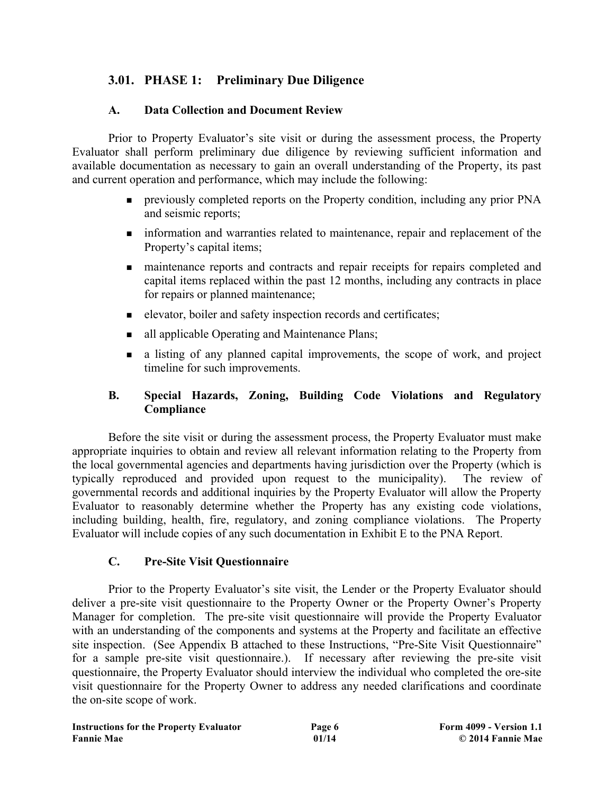# **3.01. PHASE 1: Preliminary Due Diligence**

#### **A. Data Collection and Document Review**

Prior to Property Evaluator's site visit or during the assessment process, the Property Evaluator shall perform preliminary due diligence by reviewing sufficient information and available documentation as necessary to gain an overall understanding of the Property, its past and current operation and performance, which may include the following:

- n previously completed reports on the Property condition, including any prior PNA and seismic reports;
- n information and warranties related to maintenance, repair and replacement of the Property's capital items;
- n maintenance reports and contracts and repair receipts for repairs completed and capital items replaced within the past 12 months, including any contracts in place for repairs or planned maintenance;
- n elevator, boiler and safety inspection records and certificates;
- all applicable Operating and Maintenance Plans;
- <sup>n</sup> a listing of any planned capital improvements, the scope of work, and project timeline for such improvements.

#### **B. Special Hazards, Zoning, Building Code Violations and Regulatory Compliance**

Before the site visit or during the assessment process, the Property Evaluator must make appropriate inquiries to obtain and review all relevant information relating to the Property from the local governmental agencies and departments having jurisdiction over the Property (which is typically reproduced and provided upon request to the municipality). The review of governmental records and additional inquiries by the Property Evaluator will allow the Property Evaluator to reasonably determine whether the Property has any existing code violations, including building, health, fire, regulatory, and zoning compliance violations. The Property Evaluator will include copies of any such documentation in Exhibit E to the PNA Report.

#### **C. Pre-Site Visit Questionnaire**

Prior to the Property Evaluator's site visit, the Lender or the Property Evaluator should deliver a pre-site visit questionnaire to the Property Owner or the Property Owner's Property Manager for completion. The pre-site visit questionnaire will provide the Property Evaluator with an understanding of the components and systems at the Property and facilitate an effective site inspection. (See Appendix B attached to these Instructions, "Pre-Site Visit Questionnaire" for a sample pre-site visit questionnaire.). If necessary after reviewing the pre-site visit questionnaire, the Property Evaluator should interview the individual who completed the ore-site visit questionnaire for the Property Owner to address any needed clarifications and coordinate the on-site scope of work.

| <b>Instructions for the Property Evaluator</b> | Page 6 |
|------------------------------------------------|--------|
| <b>Fannie Mae</b>                              | 01/14  |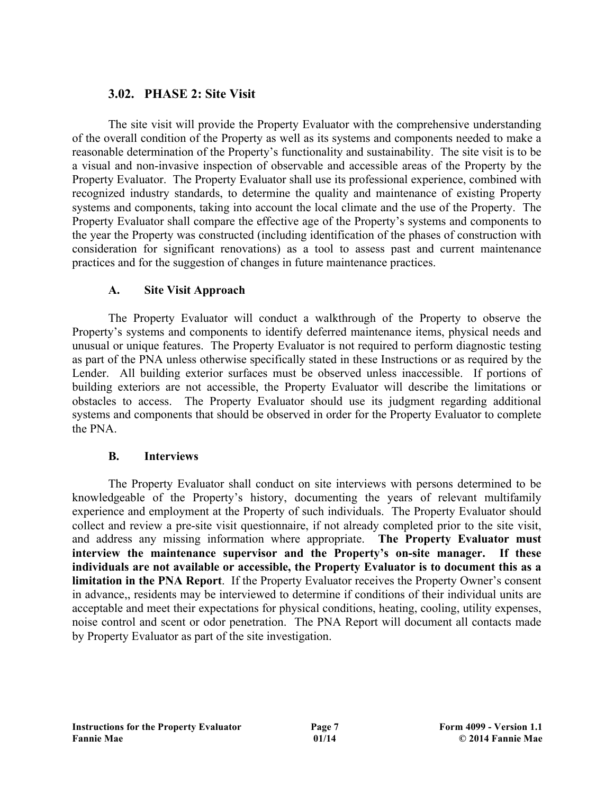# **3.02. PHASE 2: Site Visit**

The site visit will provide the Property Evaluator with the comprehensive understanding of the overall condition of the Property as well as its systems and components needed to make a reasonable determination of the Property's functionality and sustainability. The site visit is to be a visual and non-invasive inspection of observable and accessible areas of the Property by the Property Evaluator. The Property Evaluator shall use its professional experience, combined with recognized industry standards, to determine the quality and maintenance of existing Property systems and components, taking into account the local climate and the use of the Property. The Property Evaluator shall compare the effective age of the Property's systems and components to the year the Property was constructed (including identification of the phases of construction with consideration for significant renovations) as a tool to assess past and current maintenance practices and for the suggestion of changes in future maintenance practices.

#### **A. Site Visit Approach**

The Property Evaluator will conduct a walkthrough of the Property to observe the Property's systems and components to identify deferred maintenance items, physical needs and unusual or unique features. The Property Evaluator is not required to perform diagnostic testing as part of the PNA unless otherwise specifically stated in these Instructions or as required by the Lender. All building exterior surfaces must be observed unless inaccessible. If portions of building exteriors are not accessible, the Property Evaluator will describe the limitations or obstacles to access. The Property Evaluator should use its judgment regarding additional systems and components that should be observed in order for the Property Evaluator to complete the PNA.

## **B. Interviews**

The Property Evaluator shall conduct on site interviews with persons determined to be knowledgeable of the Property's history, documenting the years of relevant multifamily experience and employment at the Property of such individuals. The Property Evaluator should collect and review a pre-site visit questionnaire, if not already completed prior to the site visit, and address any missing information where appropriate. **The Property Evaluator must interview the maintenance supervisor and the Property's on-site manager. If these individuals are not available or accessible, the Property Evaluator is to document this as a limitation in the PNA Report**. If the Property Evaluator receives the Property Owner's consent in advance,, residents may be interviewed to determine if conditions of their individual units are acceptable and meet their expectations for physical conditions, heating, cooling, utility expenses, noise control and scent or odor penetration. The PNA Report will document all contacts made by Property Evaluator as part of the site investigation.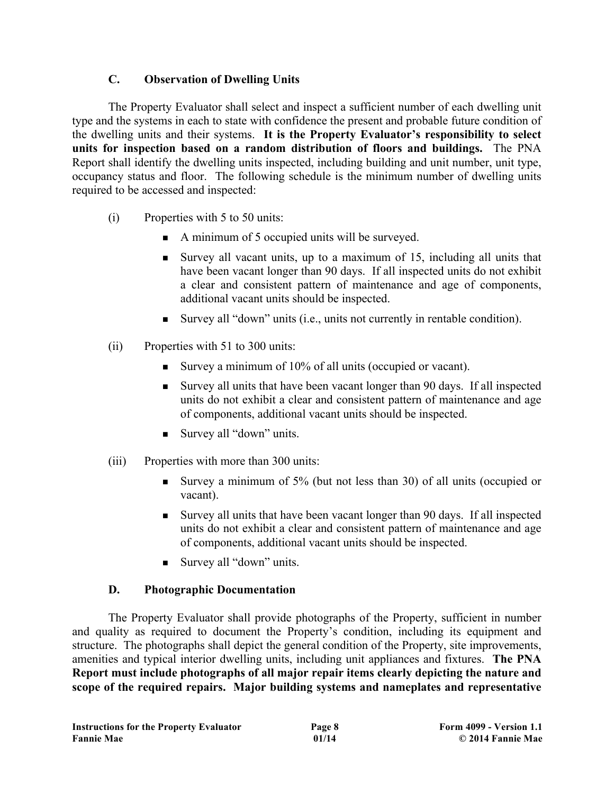## **C. Observation of Dwelling Units**

The Property Evaluator shall select and inspect a sufficient number of each dwelling unit type and the systems in each to state with confidence the present and probable future condition of the dwelling units and their systems. **It is the Property Evaluator's responsibility to select units for inspection based on a random distribution of floors and buildings.** The PNA Report shall identify the dwelling units inspected, including building and unit number, unit type, occupancy status and floor. The following schedule is the minimum number of dwelling units required to be accessed and inspected:

- (i) Properties with 5 to 50 units:
	- A minimum of 5 occupied units will be surveyed.
	- <sup>n</sup> Survey all vacant units, up to a maximum of 15, including all units that have been vacant longer than 90 days. If all inspected units do not exhibit a clear and consistent pattern of maintenance and age of components, additional vacant units should be inspected.
	- <sup>n</sup> Survey all "down" units (i.e., units not currently in rentable condition).
- (ii) Properties with 51 to 300 units:
	- Survey a minimum of 10% of all units (occupied or vacant).
	- <sup>n</sup> Survey all units that have been vacant longer than 90 days. If all inspected units do not exhibit a clear and consistent pattern of maintenance and age of components, additional vacant units should be inspected.
	- Survey all "down" units.
- (iii) Properties with more than 300 units:
	- <sup>n</sup> Survey a minimum of 5% (but not less than 30) of all units (occupied or vacant).
	- <sup>n</sup> Survey all units that have been vacant longer than 90 days. If all inspected units do not exhibit a clear and consistent pattern of maintenance and age of components, additional vacant units should be inspected.
	- Survey all "down" units.

## **D. Photographic Documentation**

The Property Evaluator shall provide photographs of the Property, sufficient in number and quality as required to document the Property's condition, including its equipment and structure. The photographs shall depict the general condition of the Property, site improvements, amenities and typical interior dwelling units, including unit appliances and fixtures. **The PNA Report must include photographs of all major repair items clearly depicting the nature and scope of the required repairs. Major building systems and nameplates and representative**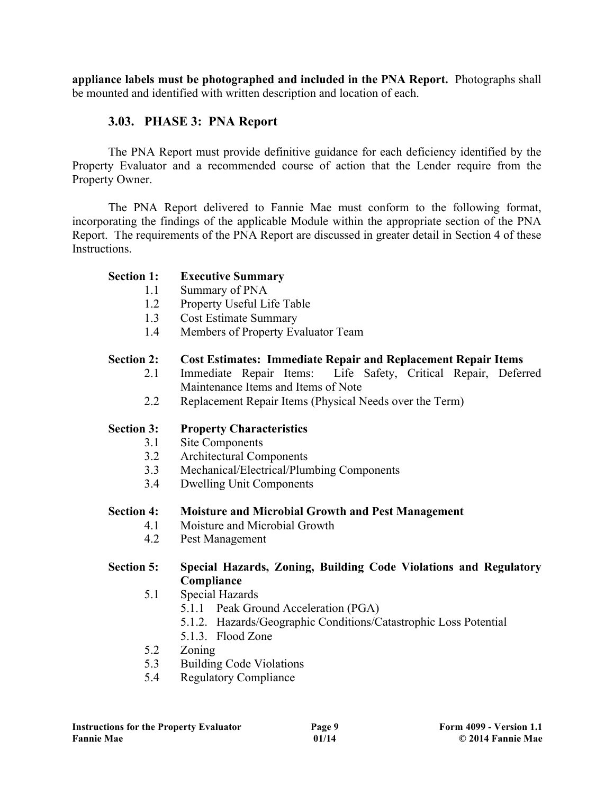**appliance labels must be photographed and included in the PNA Report.** Photographs shall be mounted and identified with written description and location of each.

## **3.03. PHASE 3: PNA Report**

The PNA Report must provide definitive guidance for each deficiency identified by the Property Evaluator and a recommended course of action that the Lender require from the Property Owner.

The PNA Report delivered to Fannie Mae must conform to the following format, incorporating the findings of the applicable Module within the appropriate section of the PNA Report. The requirements of the PNA Report are discussed in greater detail in Section 4 of these Instructions.

#### **Section 1: Executive Summary**

- 1.1 Summary of PNA
- 1.2 Property Useful Life Table
- 1.3 Cost Estimate Summary
- 1.4 Members of Property Evaluator Team

## **Section 2: Cost Estimates: Immediate Repair and Replacement Repair Items**

- 2.1 Immediate Repair Items: Life Safety, Critical Repair, Deferred Maintenance Items and Items of Note
- 2.2 Replacement Repair Items (Physical Needs over the Term)

## **Section 3: Property Characteristics**

- 3.1 Site Components
- 3.2 Architectural Components
- 3.3 Mechanical/Electrical/Plumbing Components
- 3.4 Dwelling Unit Components

#### **Section 4: Moisture and Microbial Growth and Pest Management**

- 4.1 Moisture and Microbial Growth
- 4.2 Pest Management

#### **Section 5: Special Hazards, Zoning, Building Code Violations and Regulatory Compliance**

- 5.1 Special Hazards
	- 5.1.1 Peak Ground Acceleration (PGA)
	- 5.1.2. Hazards/Geographic Conditions/Catastrophic Loss Potential
	- 5.1.3. Flood Zone
- 5.2 Zoning
- 5.3 Building Code Violations
- 5.4 Regulatory Compliance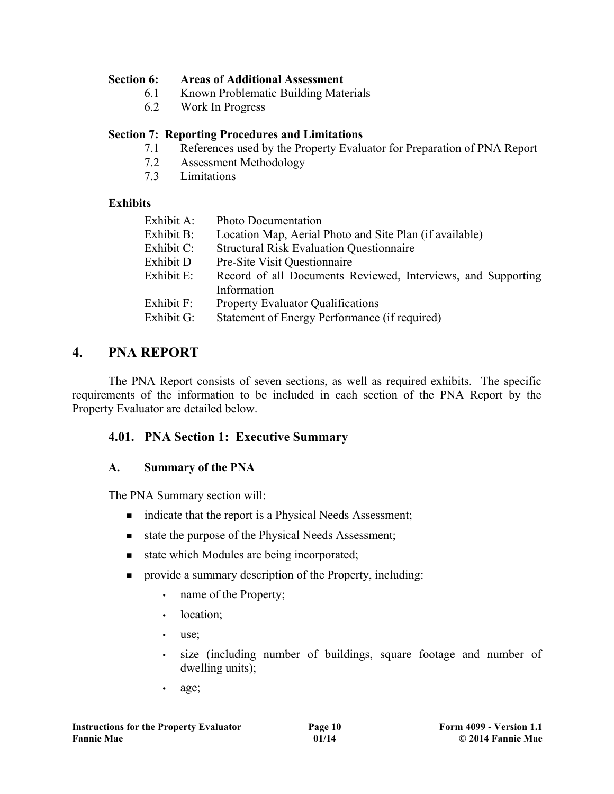#### **Section 6: Areas of Additional Assessment**

- 6.1 Known Problematic Building Materials
- 6.2 Work In Progress

#### **Section 7: Reporting Procedures and Limitations**

- 7.1 References used by the Property Evaluator for Preparation of PNA Report
- 7.2 Assessment Methodology
- 7.3 Limitations

#### **Exhibits**

| Exhibit A: | <b>Photo Documentation</b>                                   |
|------------|--------------------------------------------------------------|
| Exhibit B: | Location Map, Aerial Photo and Site Plan (if available)      |
| Exhibit C: | <b>Structural Risk Evaluation Questionnaire</b>              |
| Exhibit D  | Pre-Site Visit Questionnaire                                 |
| Exhibit E: | Record of all Documents Reviewed, Interviews, and Supporting |
|            | Information                                                  |
| Exhibit F: | <b>Property Evaluator Qualifications</b>                     |
| Exhibit G: | Statement of Energy Performance (if required)                |
|            |                                                              |

# **4. PNA REPORT**

The PNA Report consists of seven sections, as well as required exhibits. The specific requirements of the information to be included in each section of the PNA Report by the Property Evaluator are detailed below.

## **4.01. PNA Section 1: Executive Summary**

## **A. Summary of the PNA**

The PNA Summary section will:

- indicate that the report is a Physical Needs Assessment;
- state the purpose of the Physical Needs Assessment;
- state which Modules are being incorporated;
- n provide a summary description of the Property, including:
	- name of the Property;
	- location:
	- use;
	- size (including number of buildings, square footage and number of dwelling units);
	- age;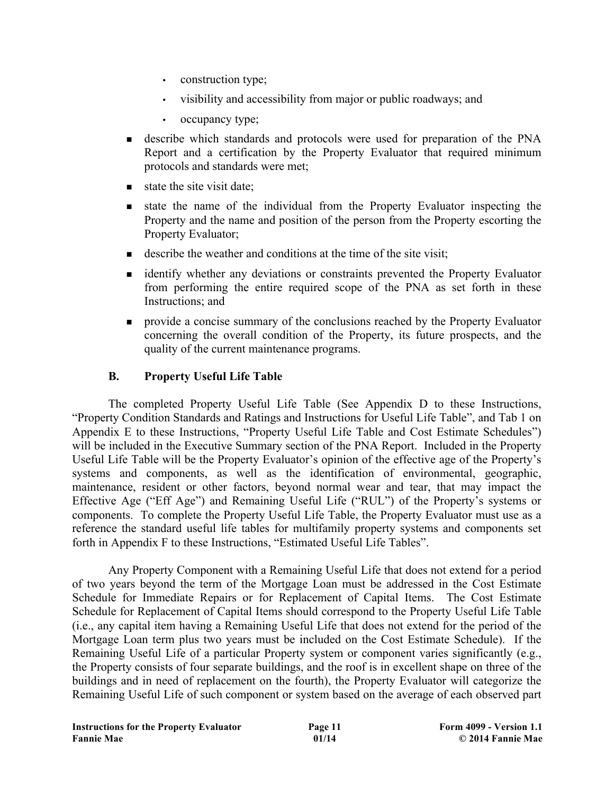- construction type;
- visibility and accessibility from major or public roadways; and
- occupancy type;
- <sup>n</sup> describe which standards and protocols were used for preparation of the PNA Report and a certification by the Property Evaluator that required minimum protocols and standards were met;
- $\blacksquare$  state the site visit date;
- <sup>n</sup> state the name of the individual from the Property Evaluator inspecting the Property and the name and position of the person from the Property escorting the Property Evaluator;
- $\blacksquare$  describe the weather and conditions at the time of the site visit;
- <sup>n</sup> identify whether any deviations or constraints prevented the Property Evaluator from performing the entire required scope of the PNA as set forth in these Instructions; and
- n provide a concise summary of the conclusions reached by the Property Evaluator concerning the overall condition of the Property, its future prospects, and the quality of the current maintenance programs.

## **B. Property Useful Life Table**

The completed Property Useful Life Table (See Appendix D to these Instructions, "Property Condition Standards and Ratings and Instructions for Useful Life Table", and Tab 1 on Appendix E to these Instructions, "Property Useful Life Table and Cost Estimate Schedules") will be included in the Executive Summary section of the PNA Report. Included in the Property Useful Life Table will be the Property Evaluator's opinion of the effective age of the Property's systems and components, as well as the identification of environmental, geographic, maintenance, resident or other factors, beyond normal wear and tear, that may impact the Effective Age ("Eff Age") and Remaining Useful Life ("RUL") of the Property's systems or components. To complete the Property Useful Life Table, the Property Evaluator must use as a reference the standard useful life tables for multifamily property systems and components set forth in Appendix F to these Instructions, "Estimated Useful Life Tables".

Any Property Component with a Remaining Useful Life that does not extend for a period of two years beyond the term of the Mortgage Loan must be addressed in the Cost Estimate Schedule for Immediate Repairs or for Replacement of Capital Items. The Cost Estimate Schedule for Replacement of Capital Items should correspond to the Property Useful Life Table (i.e., any capital item having a Remaining Useful Life that does not extend for the period of the Mortgage Loan term plus two years must be included on the Cost Estimate Schedule). If the Remaining Useful Life of a particular Property system or component varies significantly (e.g., the Property consists of four separate buildings, and the roof is in excellent shape on three of the buildings and in need of replacement on the fourth), the Property Evaluator will categorize the Remaining Useful Life of such component or system based on the average of each observed part

| <b>Instructions for the Property Evaluator</b> |  |  |
|------------------------------------------------|--|--|
| <b>Fannie Mae</b>                              |  |  |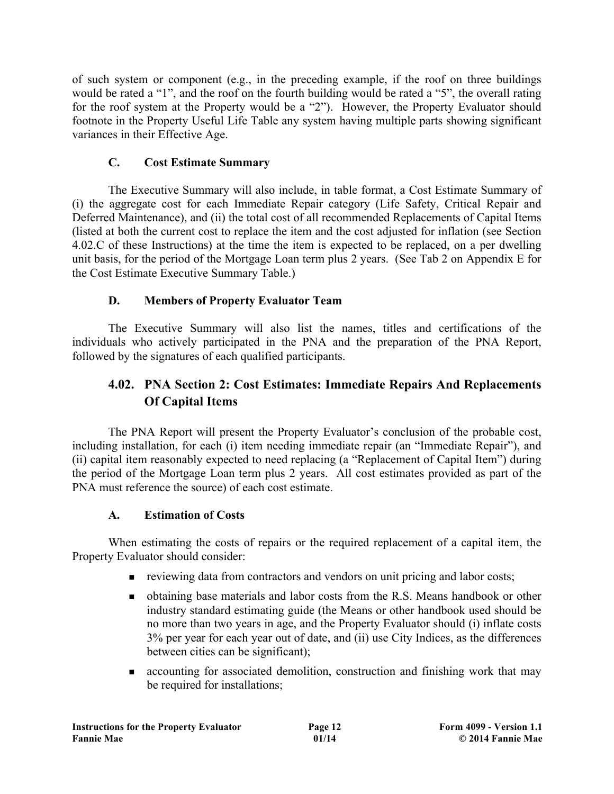of such system or component (e.g., in the preceding example, if the roof on three buildings would be rated a "1", and the roof on the fourth building would be rated a "5", the overall rating for the roof system at the Property would be a "2"). However, the Property Evaluator should footnote in the Property Useful Life Table any system having multiple parts showing significant variances in their Effective Age.

# **C. Cost Estimate Summary**

The Executive Summary will also include, in table format, a Cost Estimate Summary of (i) the aggregate cost for each Immediate Repair category (Life Safety, Critical Repair and Deferred Maintenance), and (ii) the total cost of all recommended Replacements of Capital Items (listed at both the current cost to replace the item and the cost adjusted for inflation (see Section 4.02.C of these Instructions) at the time the item is expected to be replaced, on a per dwelling unit basis, for the period of the Mortgage Loan term plus 2 years. (See Tab 2 on Appendix E for the Cost Estimate Executive Summary Table.)

# **D. Members of Property Evaluator Team**

The Executive Summary will also list the names, titles and certifications of the individuals who actively participated in the PNA and the preparation of the PNA Report, followed by the signatures of each qualified participants.

# **4.02. PNA Section 2: Cost Estimates: Immediate Repairs And Replacements Of Capital Items**

The PNA Report will present the Property Evaluator's conclusion of the probable cost, including installation, for each (i) item needing immediate repair (an "Immediate Repair"), and (ii) capital item reasonably expected to need replacing (a "Replacement of Capital Item") during the period of the Mortgage Loan term plus 2 years. All cost estimates provided as part of the PNA must reference the source) of each cost estimate.

# **A. Estimation of Costs**

When estimating the costs of repairs or the required replacement of a capital item, the Property Evaluator should consider:

- n reviewing data from contractors and vendors on unit pricing and labor costs;
- <sup>n</sup> obtaining base materials and labor costs from the R.S. Means handbook or other industry standard estimating guide (the Means or other handbook used should be no more than two years in age, and the Property Evaluator should (i) inflate costs 3% per year for each year out of date, and (ii) use City Indices, as the differences between cities can be significant);
- <sup>n</sup> accounting for associated demolition, construction and finishing work that may be required for installations;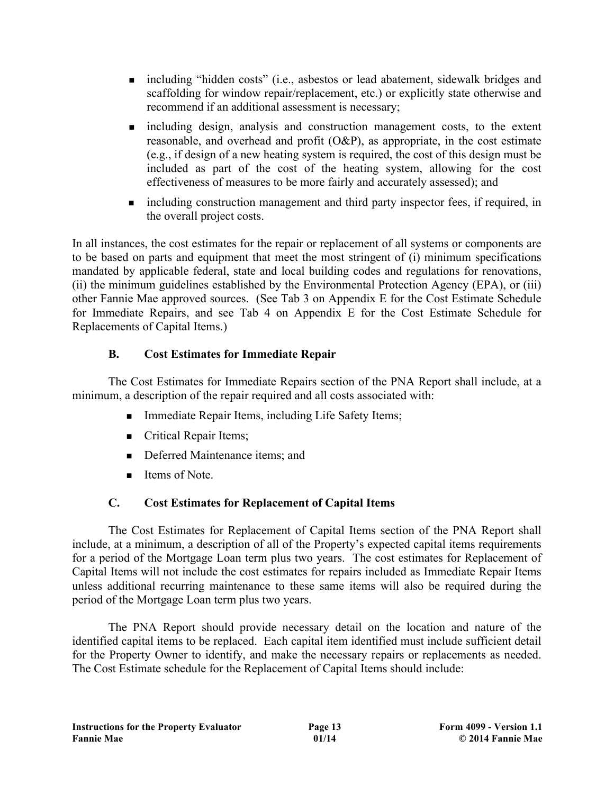- <sup>n</sup> including "hidden costs" (i.e., asbestos or lead abatement, sidewalk bridges and scaffolding for window repair/replacement, etc.) or explicitly state otherwise and recommend if an additional assessment is necessary;
- n including design, analysis and construction management costs, to the extent reasonable, and overhead and profit (O&P), as appropriate, in the cost estimate (e.g., if design of a new heating system is required, the cost of this design must be included as part of the cost of the heating system, allowing for the cost effectiveness of measures to be more fairly and accurately assessed); and
- n including construction management and third party inspector fees, if required, in the overall project costs.

In all instances, the cost estimates for the repair or replacement of all systems or components are to be based on parts and equipment that meet the most stringent of (i) minimum specifications mandated by applicable federal, state and local building codes and regulations for renovations, (ii) the minimum guidelines established by the Environmental Protection Agency (EPA), or (iii) other Fannie Mae approved sources. (See Tab 3 on Appendix E for the Cost Estimate Schedule for Immediate Repairs, and see Tab 4 on Appendix E for the Cost Estimate Schedule for Replacements of Capital Items.)

# **B. Cost Estimates for Immediate Repair**

The Cost Estimates for Immediate Repairs section of the PNA Report shall include, at a minimum, a description of the repair required and all costs associated with:

- Immediate Repair Items, including Life Safety Items;
- **n** Critical Repair Items;
- Deferred Maintenance items; and
- $\blacksquare$  Items of Note.

# **C. Cost Estimates for Replacement of Capital Items**

The Cost Estimates for Replacement of Capital Items section of the PNA Report shall include, at a minimum, a description of all of the Property's expected capital items requirements for a period of the Mortgage Loan term plus two years. The cost estimates for Replacement of Capital Items will not include the cost estimates for repairs included as Immediate Repair Items unless additional recurring maintenance to these same items will also be required during the period of the Mortgage Loan term plus two years.

The PNA Report should provide necessary detail on the location and nature of the identified capital items to be replaced. Each capital item identified must include sufficient detail for the Property Owner to identify, and make the necessary repairs or replacements as needed. The Cost Estimate schedule for the Replacement of Capital Items should include: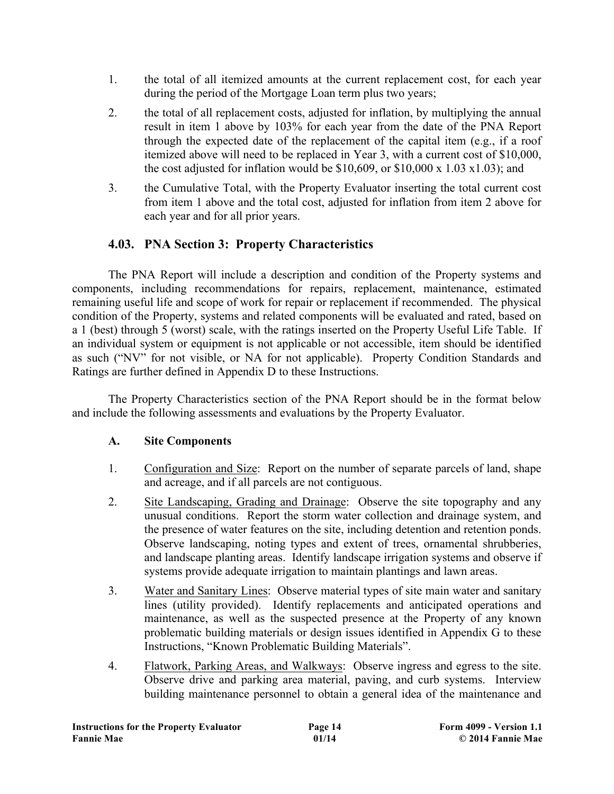- 1. the total of all itemized amounts at the current replacement cost, for each year during the period of the Mortgage Loan term plus two years;
- 2. the total of all replacement costs, adjusted for inflation, by multiplying the annual result in item 1 above by 103% for each year from the date of the PNA Report through the expected date of the replacement of the capital item (e.g., if a roof itemized above will need to be replaced in Year 3, with a current cost of \$10,000, the cost adjusted for inflation would be  $$10,609$ , or  $$10,000 \times 1.03 \times 1.03$ ; and
- 3. the Cumulative Total, with the Property Evaluator inserting the total current cost from item 1 above and the total cost, adjusted for inflation from item 2 above for each year and for all prior years.

# **4.03. PNA Section 3: Property Characteristics**

The PNA Report will include a description and condition of the Property systems and components, including recommendations for repairs, replacement, maintenance, estimated remaining useful life and scope of work for repair or replacement if recommended. The physical condition of the Property, systems and related components will be evaluated and rated, based on a 1 (best) through 5 (worst) scale, with the ratings inserted on the Property Useful Life Table. If an individual system or equipment is not applicable or not accessible, item should be identified as such ("NV" for not visible, or NA for not applicable). Property Condition Standards and Ratings are further defined in Appendix D to these Instructions.

The Property Characteristics section of the PNA Report should be in the format below and include the following assessments and evaluations by the Property Evaluator.

## **A. Site Components**

- 1. Configuration and Size: Report on the number of separate parcels of land, shape and acreage, and if all parcels are not contiguous.
- 2. Site Landscaping, Grading and Drainage: Observe the site topography and any unusual conditions. Report the storm water collection and drainage system, and the presence of water features on the site, including detention and retention ponds. Observe landscaping, noting types and extent of trees, ornamental shrubberies, and landscape planting areas. Identify landscape irrigation systems and observe if systems provide adequate irrigation to maintain plantings and lawn areas.
- 3. Water and Sanitary Lines: Observe material types of site main water and sanitary lines (utility provided). Identify replacements and anticipated operations and maintenance, as well as the suspected presence at the Property of any known problematic building materials or design issues identified in Appendix G to these Instructions, "Known Problematic Building Materials".
- 4. Flatwork, Parking Areas, and Walkways: Observe ingress and egress to the site. Observe drive and parking area material, paving, and curb systems. Interview building maintenance personnel to obtain a general idea of the maintenance and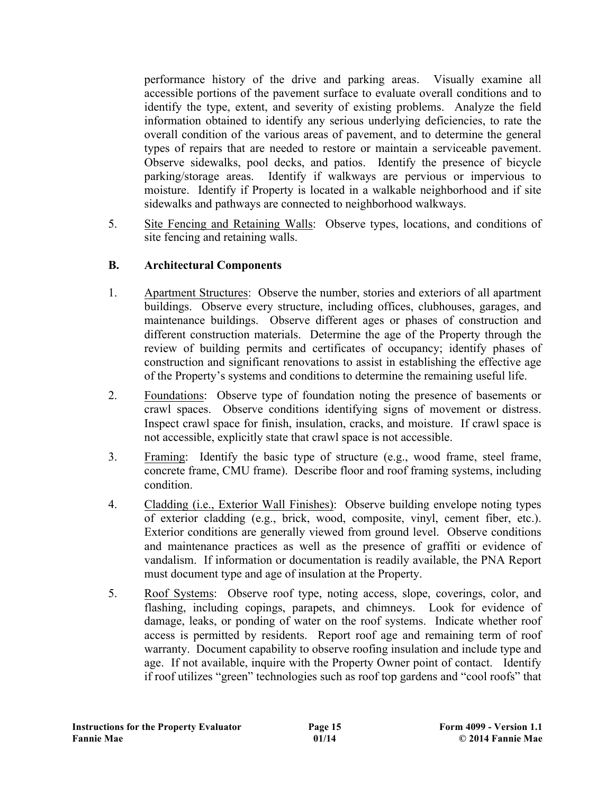performance history of the drive and parking areas. Visually examine all accessible portions of the pavement surface to evaluate overall conditions and to identify the type, extent, and severity of existing problems. Analyze the field information obtained to identify any serious underlying deficiencies, to rate the overall condition of the various areas of pavement, and to determine the general types of repairs that are needed to restore or maintain a serviceable pavement. Observe sidewalks, pool decks, and patios. Identify the presence of bicycle parking/storage areas. Identify if walkways are pervious or impervious to moisture. Identify if Property is located in a walkable neighborhood and if site sidewalks and pathways are connected to neighborhood walkways.

5. Site Fencing and Retaining Walls: Observe types, locations, and conditions of site fencing and retaining walls.

#### **B. Architectural Components**

- 1. Apartment Structures: Observe the number, stories and exteriors of all apartment buildings. Observe every structure, including offices, clubhouses, garages, and maintenance buildings. Observe different ages or phases of construction and different construction materials. Determine the age of the Property through the review of building permits and certificates of occupancy; identify phases of construction and significant renovations to assist in establishing the effective age of the Property's systems and conditions to determine the remaining useful life.
- 2. Foundations: Observe type of foundation noting the presence of basements or crawl spaces. Observe conditions identifying signs of movement or distress. Inspect crawl space for finish, insulation, cracks, and moisture. If crawl space is not accessible, explicitly state that crawl space is not accessible.
- 3. Framing: Identify the basic type of structure (e.g., wood frame, steel frame, concrete frame, CMU frame). Describe floor and roof framing systems, including condition.
- 4. Cladding (i.e., Exterior Wall Finishes): Observe building envelope noting types of exterior cladding (e.g., brick, wood, composite, vinyl, cement fiber, etc.). Exterior conditions are generally viewed from ground level. Observe conditions and maintenance practices as well as the presence of graffiti or evidence of vandalism. If information or documentation is readily available, the PNA Report must document type and age of insulation at the Property.
- 5. Roof Systems: Observe roof type, noting access, slope, coverings, color, and flashing, including copings, parapets, and chimneys. Look for evidence of damage, leaks, or ponding of water on the roof systems. Indicate whether roof access is permitted by residents. Report roof age and remaining term of roof warranty. Document capability to observe roofing insulation and include type and age. If not available, inquire with the Property Owner point of contact. Identify if roof utilizes "green" technologies such as roof top gardens and "cool roofs" that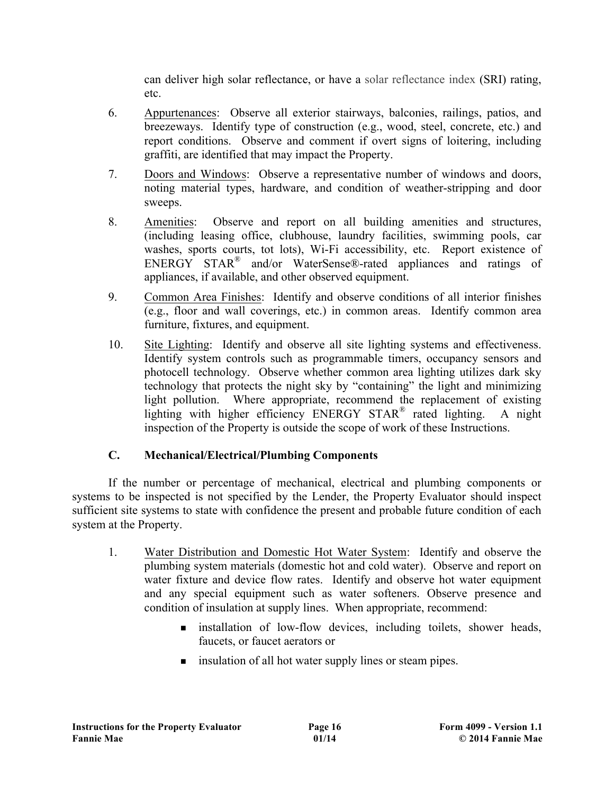can deliver high solar reflectance, or have a solar reflectance index (SRI) rating, etc.

- 6. Appurtenances: Observe all exterior stairways, balconies, railings, patios, and breezeways. Identify type of construction (e.g., wood, steel, concrete, etc.) and report conditions. Observe and comment if overt signs of loitering, including graffiti, are identified that may impact the Property.
- 7. Doors and Windows: Observe a representative number of windows and doors, noting material types, hardware, and condition of weather-stripping and door sweeps.
- 8. Amenities: Observe and report on all building amenities and structures, (including leasing office, clubhouse, laundry facilities, swimming pools, car washes, sports courts, tot lots), Wi-Fi accessibility, etc. Report existence of ENERGY STAR<sup>®</sup> and/or WaterSense®-rated appliances and ratings of appliances, if available, and other observed equipment.
- 9. Common Area Finishes: Identify and observe conditions of all interior finishes (e.g., floor and wall coverings, etc.) in common areas. Identify common area furniture, fixtures, and equipment.
- 10. Site Lighting: Identify and observe all site lighting systems and effectiveness. Identify system controls such as programmable timers, occupancy sensors and photocell technology. Observe whether common area lighting utilizes dark sky technology that protects the night sky by "containing" the light and minimizing light pollution. Where appropriate, recommend the replacement of existing lighting with higher efficiency ENERGY STAR® rated lighting. A night inspection of the Property is outside the scope of work of these Instructions.

# **C. Mechanical/Electrical/Plumbing Components**

If the number or percentage of mechanical, electrical and plumbing components or systems to be inspected is not specified by the Lender, the Property Evaluator should inspect sufficient site systems to state with confidence the present and probable future condition of each system at the Property.

- 1. Water Distribution and Domestic Hot Water System:Identify and observe the plumbing system materials (domestic hot and cold water). Observe and report on water fixture and device flow rates. Identify and observe hot water equipment and any special equipment such as water softeners. Observe presence and condition of insulation at supply lines. When appropriate, recommend:
	- n installation of low-flow devices, including toilets, shower heads, faucets, or faucet aerators or
	- n insulation of all hot water supply lines or steam pipes.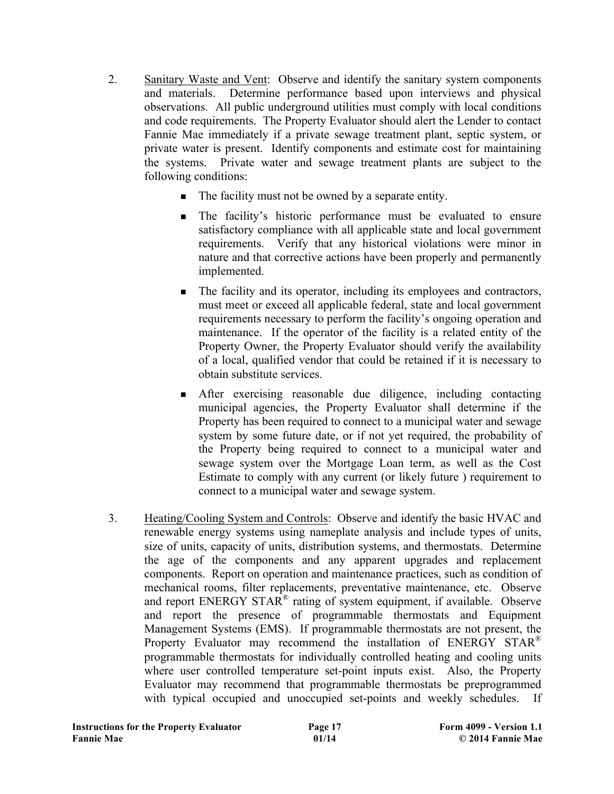- 2. Sanitary Waste and Vent: Observe and identify the sanitary system components and materials. Determine performance based upon interviews and physical observations. All public underground utilities must comply with local conditions and code requirements. The Property Evaluator should alert the Lender to contact Fannie Mae immediately if a private sewage treatment plant, septic system, or private water is present. Identify components and estimate cost for maintaining the systems. Private water and sewage treatment plants are subject to the following conditions:
	- $\blacksquare$  The facility must not be owned by a separate entity.
	- <sup>n</sup> The facility's historic performance must be evaluated to ensure satisfactory compliance with all applicable state and local government requirements. Verify that any historical violations were minor in nature and that corrective actions have been properly and permanently implemented.
	- <sup>n</sup> The facility and its operator, including its employees and contractors, must meet or exceed all applicable federal, state and local government requirements necessary to perform the facility's ongoing operation and maintenance. If the operator of the facility is a related entity of the Property Owner, the Property Evaluator should verify the availability of a local, qualified vendor that could be retained if it is necessary to obtain substitute services.
	- <sup>n</sup> After exercising reasonable due diligence, including contacting municipal agencies, the Property Evaluator shall determine if the Property has been required to connect to a municipal water and sewage system by some future date, or if not yet required, the probability of the Property being required to connect to a municipal water and sewage system over the Mortgage Loan term, as well as the Cost Estimate to comply with any current (or likely future ) requirement to connect to a municipal water and sewage system.
- 3. Heating/Cooling System and Controls: Observe and identify the basic HVAC and renewable energy systems using nameplate analysis and include types of units, size of units, capacity of units, distribution systems, and thermostats. Determine the age of the components and any apparent upgrades and replacement components. Report on operation and maintenance practices, such as condition of mechanical rooms, filter replacements, preventative maintenance, etc. Observe and report ENERGY STAR® rating of system equipment, if available. Observe and report the presence of programmable thermostats and Equipment Management Systems (EMS). If programmable thermostats are not present, the Property Evaluator may recommend the installation of ENERGY STAR<sup>®</sup> programmable thermostats for individually controlled heating and cooling units where user controlled temperature set-point inputs exist. Also, the Property Evaluator may recommend that programmable thermostats be preprogrammed with typical occupied and unoccupied set-points and weekly schedules. If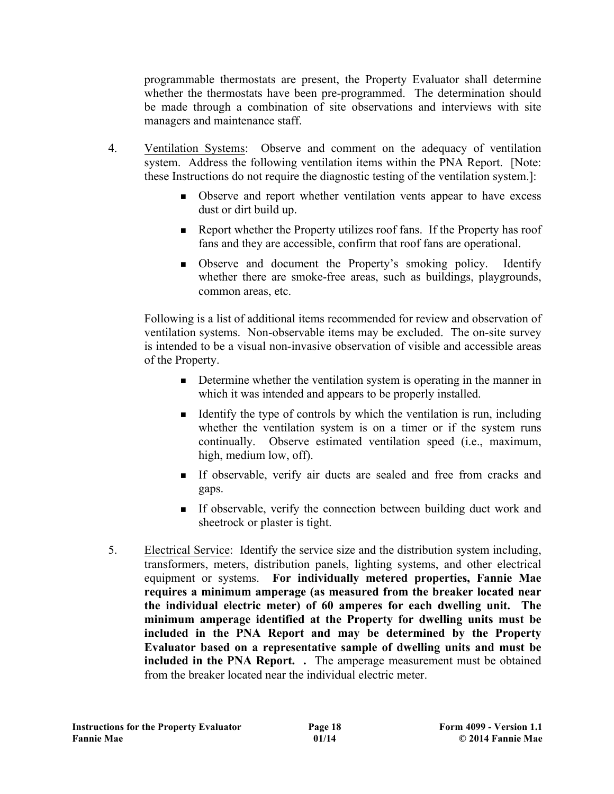programmable thermostats are present, the Property Evaluator shall determine whether the thermostats have been pre-programmed. The determination should be made through a combination of site observations and interviews with site managers and maintenance staff.

- 4. Ventilation Systems: Observe and comment on the adequacy of ventilation system. Address the following ventilation items within the PNA Report. [Note: these Instructions do not require the diagnostic testing of the ventilation system.]:
	- <sup>n</sup> Observe and report whether ventilation vents appear to have excess dust or dirt build up.
	- <sup>n</sup> Report whether the Property utilizes roof fans. If the Property has roof fans and they are accessible, confirm that roof fans are operational.
	- <sup>n</sup> Observe and document the Property's smoking policy. Identify whether there are smoke-free areas, such as buildings, playgrounds, common areas, etc.

Following is a list of additional items recommended for review and observation of ventilation systems. Non-observable items may be excluded. The on-site survey is intended to be a visual non-invasive observation of visible and accessible areas of the Property.

- <sup>n</sup> Determine whether the ventilation system is operating in the manner in which it was intended and appears to be properly installed.
- <sup>n</sup> Identify the type of controls by which the ventilation is run, including whether the ventilation system is on a timer or if the system runs continually. Observe estimated ventilation speed (i.e., maximum, high, medium low, off).
- <sup>n</sup> If observable, verify air ducts are sealed and free from cracks and gaps.
- <sup>n</sup> If observable, verify the connection between building duct work and sheetrock or plaster is tight.
- 5. Electrical Service: Identify the service size and the distribution system including, transformers, meters, distribution panels, lighting systems, and other electrical equipment or systems. **For individually metered properties, Fannie Mae requires a minimum amperage (as measured from the breaker located near the individual electric meter) of 60 amperes for each dwelling unit. The minimum amperage identified at the Property for dwelling units must be included in the PNA Report and may be determined by the Property Evaluator based on a representative sample of dwelling units and must be included in the PNA Report. .** The amperage measurement must be obtained from the breaker located near the individual electric meter.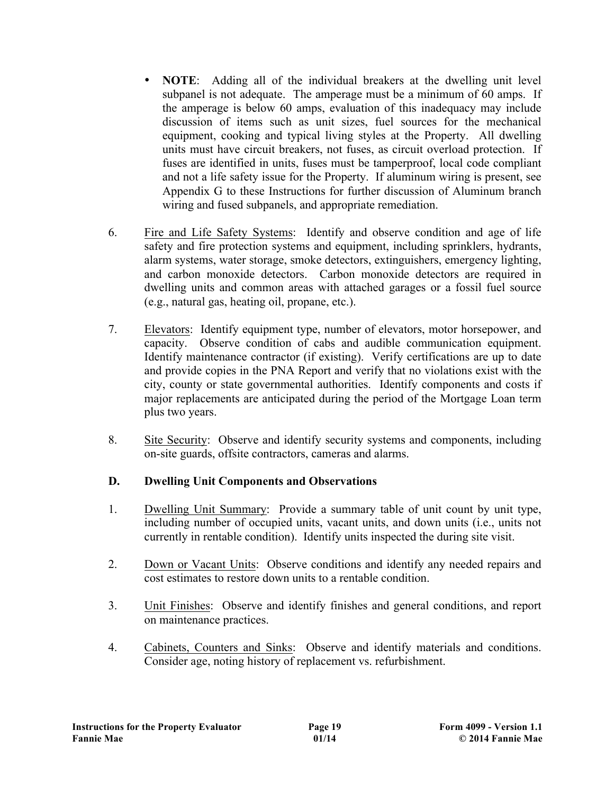- **NOTE**: Adding all of the individual breakers at the dwelling unit level subpanel is not adequate. The amperage must be a minimum of 60 amps. If the amperage is below 60 amps, evaluation of this inadequacy may include discussion of items such as unit sizes, fuel sources for the mechanical equipment, cooking and typical living styles at the Property. All dwelling units must have circuit breakers, not fuses, as circuit overload protection. If fuses are identified in units, fuses must be tamperproof, local code compliant and not a life safety issue for the Property. If aluminum wiring is present, see Appendix G to these Instructions for further discussion of Aluminum branch wiring and fused subpanels, and appropriate remediation.
- 6. Fire and Life Safety Systems: Identify and observe condition and age of life safety and fire protection systems and equipment, including sprinklers, hydrants, alarm systems, water storage, smoke detectors, extinguishers, emergency lighting, and carbon monoxide detectors. Carbon monoxide detectors are required in dwelling units and common areas with attached garages or a fossil fuel source (e.g., natural gas, heating oil, propane, etc.).
- 7. Elevators: Identify equipment type, number of elevators, motor horsepower, and capacity. Observe condition of cabs and audible communication equipment. Identify maintenance contractor (if existing). Verify certifications are up to date and provide copies in the PNA Report and verify that no violations exist with the city, county or state governmental authorities. Identify components and costs if major replacements are anticipated during the period of the Mortgage Loan term plus two years.
- 8. Site Security: Observe and identify security systems and components, including on-site guards, offsite contractors, cameras and alarms.

## **D. Dwelling Unit Components and Observations**

- 1. Dwelling Unit Summary: Provide a summary table of unit count by unit type, including number of occupied units, vacant units, and down units (i.e., units not currently in rentable condition). Identify units inspected the during site visit.
- 2. Down or Vacant Units: Observe conditions and identify any needed repairs and cost estimates to restore down units to a rentable condition.
- 3. Unit Finishes: Observe and identify finishes and general conditions, and report on maintenance practices.
- 4. Cabinets, Counters and Sinks: Observe and identify materials and conditions. Consider age, noting history of replacement vs. refurbishment.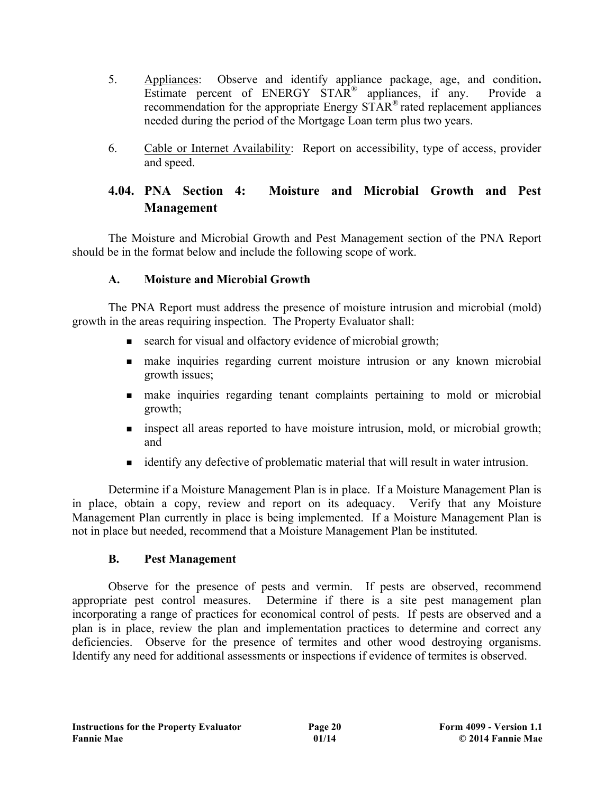- 5. Appliances: Observe and identify appliance package, age, and condition**.** Estimate percent of ENERGY STAR<sup>®</sup> appliances, if any. Provide a recommendation for the appropriate Energy STAR® rated replacement appliances needed during the period of the Mortgage Loan term plus two years.
- 6. Cable or Internet Availability: Report on accessibility, type of access, provider and speed.

# **4.04. PNA Section 4: Moisture and Microbial Growth and Pest Management**

The Moisture and Microbial Growth and Pest Management section of the PNA Report should be in the format below and include the following scope of work.

## **A. Moisture and Microbial Growth**

The PNA Report must address the presence of moisture intrusion and microbial (mold) growth in the areas requiring inspection. The Property Evaluator shall:

- **n** search for visual and olfactory evidence of microbial growth;
- n make inquiries regarding current moisture intrusion or any known microbial growth issues;
- n make inquiries regarding tenant complaints pertaining to mold or microbial growth;
- n inspect all areas reported to have moisture intrusion, mold, or microbial growth; and
- <sup>n</sup> identify any defective of problematic material that will result in water intrusion.

Determine if a Moisture Management Plan is in place. If a Moisture Management Plan is in place, obtain a copy, review and report on its adequacy. Verify that any Moisture Management Plan currently in place is being implemented. If a Moisture Management Plan is not in place but needed, recommend that a Moisture Management Plan be instituted.

## **B. Pest Management**

Observe for the presence of pests and vermin. If pests are observed, recommend appropriate pest control measures. Determine if there is a site pest management plan incorporating a range of practices for economical control of pests. If pests are observed and a plan is in place, review the plan and implementation practices to determine and correct any deficiencies. Observe for the presence of termites and other wood destroying organisms. Identify any need for additional assessments or inspections if evidence of termites is observed.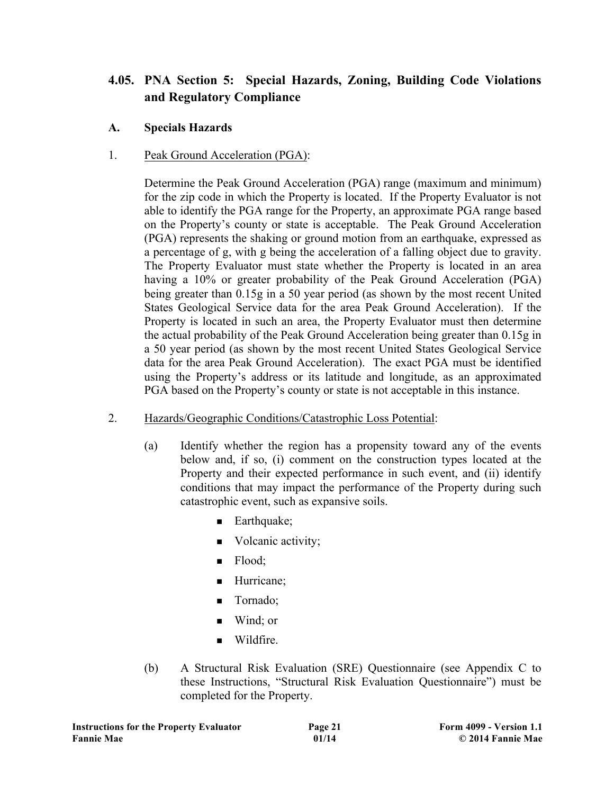# **4.05. PNA Section 5: Special Hazards, Zoning, Building Code Violations and Regulatory Compliance**

- **A. Specials Hazards**
- 1. Peak Ground Acceleration (PGA):

Determine the Peak Ground Acceleration (PGA) range (maximum and minimum) for the zip code in which the Property is located. If the Property Evaluator is not able to identify the PGA range for the Property, an approximate PGA range based on the Property's county or state is acceptable. The Peak Ground Acceleration (PGA) represents the shaking or ground motion from an earthquake, expressed as a percentage of g, with g being the acceleration of a falling object due to gravity. The Property Evaluator must state whether the Property is located in an area having a 10% or greater probability of the Peak Ground Acceleration (PGA) being greater than 0.15g in a 50 year period (as shown by the most recent United States Geological Service data for the area Peak Ground Acceleration). If the Property is located in such an area, the Property Evaluator must then determine the actual probability of the Peak Ground Acceleration being greater than 0.15g in a 50 year period (as shown by the most recent United States Geological Service data for the area Peak Ground Acceleration). The exact PGA must be identified using the Property's address or its latitude and longitude, as an approximated PGA based on the Property's county or state is not acceptable in this instance.

- 2. Hazards/Geographic Conditions/Catastrophic Loss Potential:
	- (a) Identify whether the region has a propensity toward any of the events below and, if so, (i) comment on the construction types located at the Property and their expected performance in such event, and (ii) identify conditions that may impact the performance of the Property during such catastrophic event, such as expansive soils.
		- $\blacksquare$  Earthquake;
		- Volcanic activity;
		- $\blacksquare$  Flood;
		- **Hurricane**;
		- **n** Tornado;
		- $\blacksquare$  Wind; or
		- Wildfire.
	- (b) A Structural Risk Evaluation (SRE) Questionnaire (see Appendix C to these Instructions, "Structural Risk Evaluation Questionnaire") must be completed for the Property.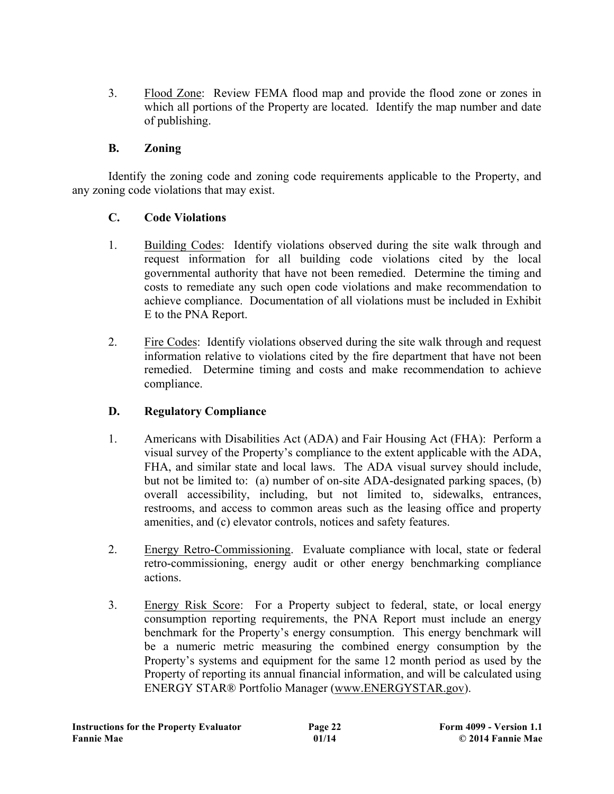3. Flood Zone: Review FEMA flood map and provide the flood zone or zones in which all portions of the Property are located. Identify the map number and date of publishing.

## **B. Zoning**

Identify the zoning code and zoning code requirements applicable to the Property, and any zoning code violations that may exist.

#### **C. Code Violations**

- 1. Building Codes: Identify violations observed during the site walk through and request information for all building code violations cited by the local governmental authority that have not been remedied. Determine the timing and costs to remediate any such open code violations and make recommendation to achieve compliance. Documentation of all violations must be included in Exhibit E to the PNA Report.
- 2. Fire Codes: Identify violations observed during the site walk through and request information relative to violations cited by the fire department that have not been remedied. Determine timing and costs and make recommendation to achieve compliance.

## **D. Regulatory Compliance**

- 1. Americans with Disabilities Act (ADA) and Fair Housing Act (FHA): Perform a visual survey of the Property's compliance to the extent applicable with the ADA, FHA, and similar state and local laws. The ADA visual survey should include, but not be limited to: (a) number of on-site ADA-designated parking spaces, (b) overall accessibility, including, but not limited to, sidewalks, entrances, restrooms, and access to common areas such as the leasing office and property amenities, and (c) elevator controls, notices and safety features.
- 2. Energy Retro-Commissioning. Evaluate compliance with local, state or federal retro-commissioning, energy audit or other energy benchmarking compliance actions.
- 3. Energy Risk Score: For a Property subject to federal, state, or local energy consumption reporting requirements, the PNA Report must include an energy benchmark for the Property's energy consumption. This energy benchmark will be a numeric metric measuring the combined energy consumption by the Property's systems and equipment for the same 12 month period as used by the Property of reporting its annual financial information, and will be calculated using ENERGY STAR® Portfolio Manager (www.ENERGYSTAR.gov).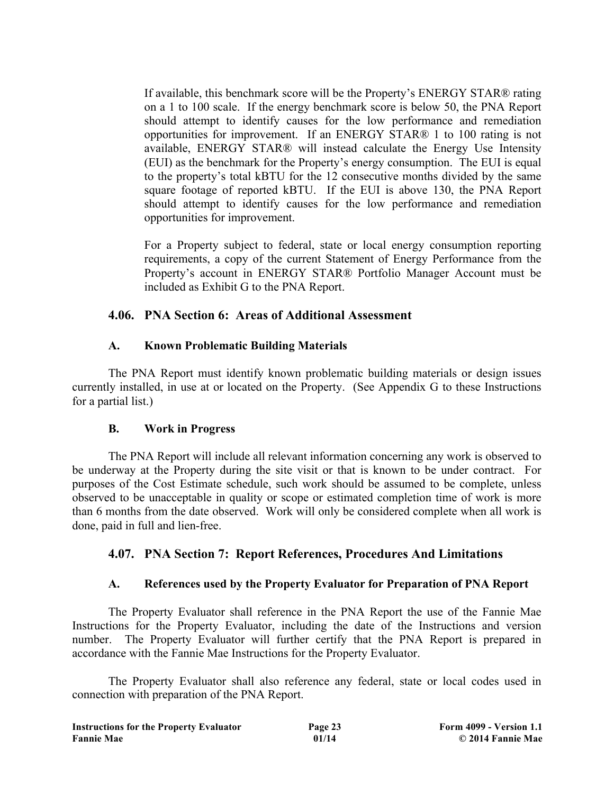If available, this benchmark score will be the Property's ENERGY STAR® rating on a 1 to 100 scale. If the energy benchmark score is below 50, the PNA Report should attempt to identify causes for the low performance and remediation opportunities for improvement. If an ENERGY STAR® 1 to 100 rating is not available, ENERGY STAR® will instead calculate the Energy Use Intensity (EUI) as the benchmark for the Property's energy consumption. The EUI is equal to the property's total kBTU for the 12 consecutive months divided by the same square footage of reported kBTU. If the EUI is above 130, the PNA Report should attempt to identify causes for the low performance and remediation opportunities for improvement.

For a Property subject to federal, state or local energy consumption reporting requirements, a copy of the current Statement of Energy Performance from the Property's account in ENERGY STAR® Portfolio Manager Account must be included as Exhibit G to the PNA Report.

#### **4.06. PNA Section 6: Areas of Additional Assessment**

#### **A. Known Problematic Building Materials**

The PNA Report must identify known problematic building materials or design issues currently installed, in use at or located on the Property. (See Appendix G to these Instructions for a partial list.)

#### **B. Work in Progress**

The PNA Report will include all relevant information concerning any work is observed to be underway at the Property during the site visit or that is known to be under contract. For purposes of the Cost Estimate schedule, such work should be assumed to be complete, unless observed to be unacceptable in quality or scope or estimated completion time of work is more than 6 months from the date observed. Work will only be considered complete when all work is done, paid in full and lien-free.

## **4.07. PNA Section 7: Report References, Procedures And Limitations**

## **A. References used by the Property Evaluator for Preparation of PNA Report**

The Property Evaluator shall reference in the PNA Report the use of the Fannie Mae Instructions for the Property Evaluator, including the date of the Instructions and version number. The Property Evaluator will further certify that the PNA Report is prepared in accordance with the Fannie Mae Instructions for the Property Evaluator.

The Property Evaluator shall also reference any federal, state or local codes used in connection with preparation of the PNA Report.

| <b>Instructions for the Property Evaluator</b> | Page 23 | <b>Form 4099 - Version 1.1</b> |
|------------------------------------------------|---------|--------------------------------|
| <b>Fannie Mae</b>                              | 01/14   | © 2014 Fannie Mae              |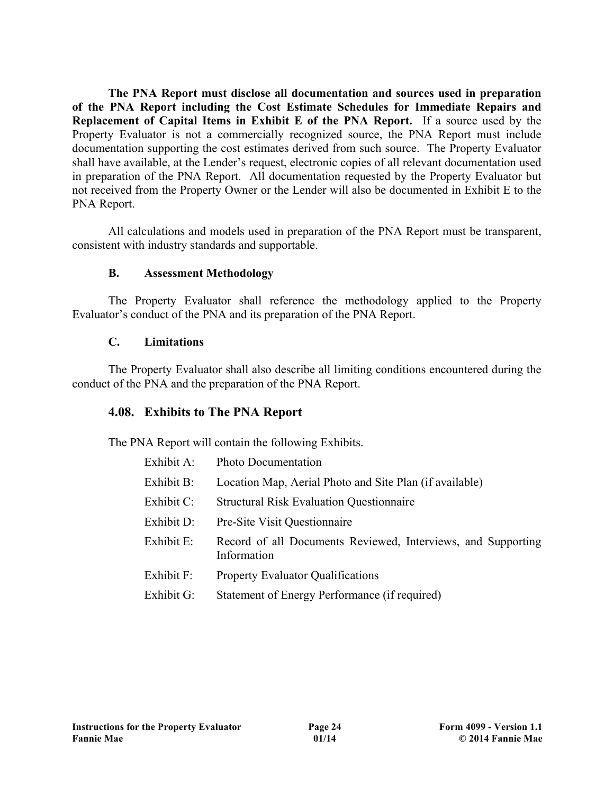**The PNA Report must disclose all documentation and sources used in preparation of the PNA Report including the Cost Estimate Schedules for Immediate Repairs and Replacement of Capital Items in Exhibit E of the PNA Report.** If a source used by the Property Evaluator is not a commercially recognized source, the PNA Report must include documentation supporting the cost estimates derived from such source. The Property Evaluator shall have available, at the Lender's request, electronic copies of all relevant documentation used in preparation of the PNA Report. All documentation requested by the Property Evaluator but not received from the Property Owner or the Lender will also be documented in Exhibit E to the PNA Report.

All calculations and models used in preparation of the PNA Report must be transparent, consistent with industry standards and supportable.

#### **B. Assessment Methodology**

The Property Evaluator shall reference the methodology applied to the Property Evaluator's conduct of the PNA and its preparation of the PNA Report.

#### **C. Limitations**

The Property Evaluator shall also describe all limiting conditions encountered during the conduct of the PNA and the preparation of the PNA Report.

## **4.08. Exhibits to The PNA Report**

The PNA Report will contain the following Exhibits.

| Exhibit A: | <b>Photo Documentation</b>                                                  |
|------------|-----------------------------------------------------------------------------|
| Exhibit B: | Location Map, Aerial Photo and Site Plan (if available)                     |
| Exhibit C: | <b>Structural Risk Evaluation Questionnaire</b>                             |
| Exhibit D: | Pre-Site Visit Questionnaire                                                |
| Exhibit E: | Record of all Documents Reviewed, Interviews, and Supporting<br>Information |
| Exhibit F: | <b>Property Evaluator Qualifications</b>                                    |
| Exhibit G: | Statement of Energy Performance (if required)                               |
|            |                                                                             |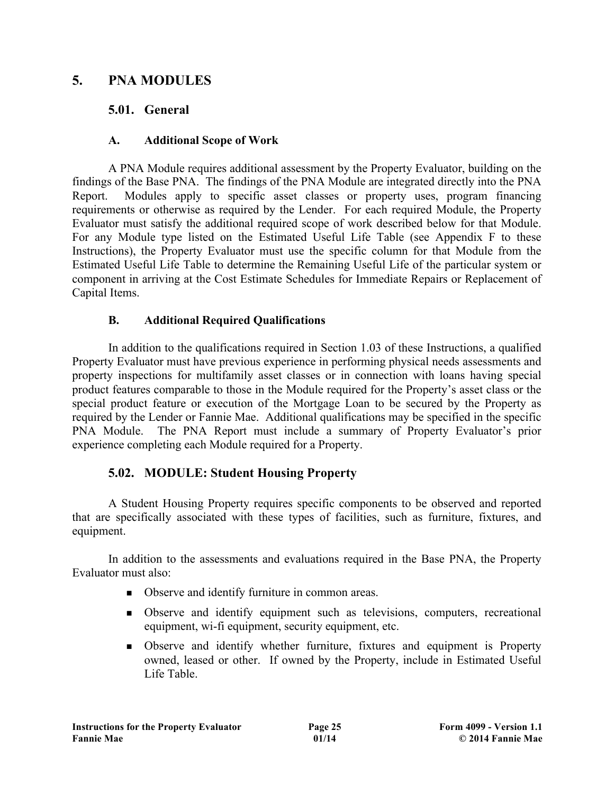# **5. PNA MODULES**

# **5.01. General**

# **A. Additional Scope of Work**

A PNA Module requires additional assessment by the Property Evaluator, building on the findings of the Base PNA. The findings of the PNA Module are integrated directly into the PNA Report. Modules apply to specific asset classes or property uses, program financing requirements or otherwise as required by the Lender. For each required Module, the Property Evaluator must satisfy the additional required scope of work described below for that Module. For any Module type listed on the Estimated Useful Life Table (see Appendix F to these Instructions), the Property Evaluator must use the specific column for that Module from the Estimated Useful Life Table to determine the Remaining Useful Life of the particular system or component in arriving at the Cost Estimate Schedules for Immediate Repairs or Replacement of Capital Items.

# **B. Additional Required Qualifications**

In addition to the qualifications required in Section 1.03 of these Instructions, a qualified Property Evaluator must have previous experience in performing physical needs assessments and property inspections for multifamily asset classes or in connection with loans having special product features comparable to those in the Module required for the Property's asset class or the special product feature or execution of the Mortgage Loan to be secured by the Property as required by the Lender or Fannie Mae. Additional qualifications may be specified in the specific PNA Module. The PNA Report must include a summary of Property Evaluator's prior experience completing each Module required for a Property.

# **5.02. MODULE: Student Housing Property**

A Student Housing Property requires specific components to be observed and reported that are specifically associated with these types of facilities, such as furniture, fixtures, and equipment.

In addition to the assessments and evaluations required in the Base PNA, the Property Evaluator must also:

- Observe and identify furniture in common areas.
- <sup>n</sup> Observe and identify equipment such as televisions, computers, recreational equipment, wi-fi equipment, security equipment, etc.
- <sup>n</sup> Observe and identify whether furniture, fixtures and equipment is Property owned, leased or other. If owned by the Property, include in Estimated Useful Life Table.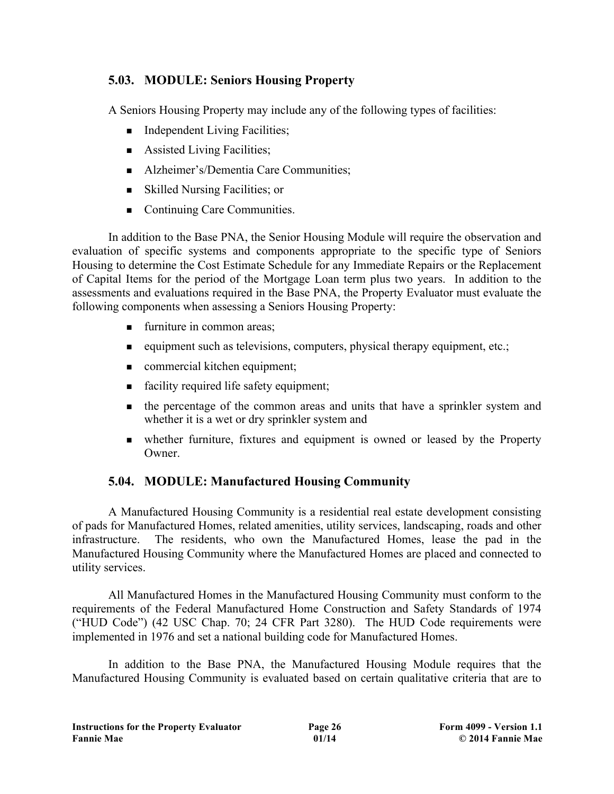# **5.03. MODULE: Seniors Housing Property**

A Seniors Housing Property may include any of the following types of facilities:

- $\blacksquare$  Independent Living Facilities;
- $\blacksquare$  Assisted Living Facilities;
- Alzheimer's/Dementia Care Communities;
- $\blacksquare$  Skilled Nursing Facilities; or
- Continuing Care Communities.

In addition to the Base PNA, the Senior Housing Module will require the observation and evaluation of specific systems and components appropriate to the specific type of Seniors Housing to determine the Cost Estimate Schedule for any Immediate Repairs or the Replacement of Capital Items for the period of the Mortgage Loan term plus two years. In addition to the assessments and evaluations required in the Base PNA, the Property Evaluator must evaluate the following components when assessing a Seniors Housing Property:

- $\blacksquare$  furniture in common areas;
- $\blacksquare$  equipment such as televisions, computers, physical therapy equipment, etc.;
- $\blacksquare$  commercial kitchen equipment;
- facility required life safety equipment;
- <sup>n</sup> the percentage of the common areas and units that have a sprinkler system and whether it is a wet or dry sprinkler system and
- <sup>n</sup> whether furniture, fixtures and equipment is owned or leased by the Property Owner.

# **5.04. MODULE: Manufactured Housing Community**

A Manufactured Housing Community is a residential real estate development consisting of pads for Manufactured Homes, related amenities, utility services, landscaping, roads and other infrastructure. The residents, who own the Manufactured Homes, lease the pad in the Manufactured Housing Community where the Manufactured Homes are placed and connected to utility services.

All Manufactured Homes in the Manufactured Housing Community must conform to the requirements of the Federal Manufactured Home Construction and Safety Standards of 1974 ("HUD Code") (42 USC Chap. 70; 24 CFR Part 3280). The HUD Code requirements were implemented in 1976 and set a national building code for Manufactured Homes.

In addition to the Base PNA, the Manufactured Housing Module requires that the Manufactured Housing Community is evaluated based on certain qualitative criteria that are to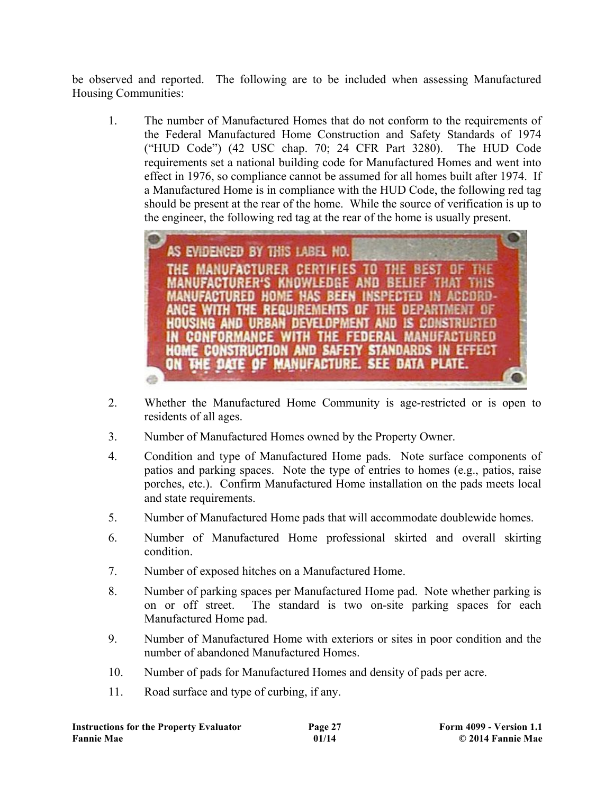be observed and reported. The following are to be included when assessing Manufactured Housing Communities:

1. The number of Manufactured Homes that do not conform to the requirements of the Federal Manufactured Home Construction and Safety Standards of 1974 ("HUD Code") (42 USC chap. 70; 24 CFR Part 3280). The HUD Code requirements set a national building code for Manufactured Homes and went into effect in 1976, so compliance cannot be assumed for all homes built after 1974. If a Manufactured Home is in compliance with the HUD Code, the following red tag should be present at the rear of the home. While the source of verification is up to the engineer, the following red tag at the rear of the home is usually present.



- 2. Whether the Manufactured Home Community is age-restricted or is open to residents of all ages.
- 3. Number of Manufactured Homes owned by the Property Owner.
- 4. Condition and type of Manufactured Home pads. Note surface components of patios and parking spaces. Note the type of entries to homes (e.g., patios, raise porches, etc.). Confirm Manufactured Home installation on the pads meets local and state requirements.
- 5. Number of Manufactured Home pads that will accommodate doublewide homes.
- 6. Number of Manufactured Home professional skirted and overall skirting condition.
- 7. Number of exposed hitches on a Manufactured Home.
- 8. Number of parking spaces per Manufactured Home pad. Note whether parking is on or off street. The standard is two on-site parking spaces for each Manufactured Home pad.
- 9. Number of Manufactured Home with exteriors or sites in poor condition and the number of abandoned Manufactured Homes.
- 10. Number of pads for Manufactured Homes and density of pads per acre.
- 11. Road surface and type of curbing, if any.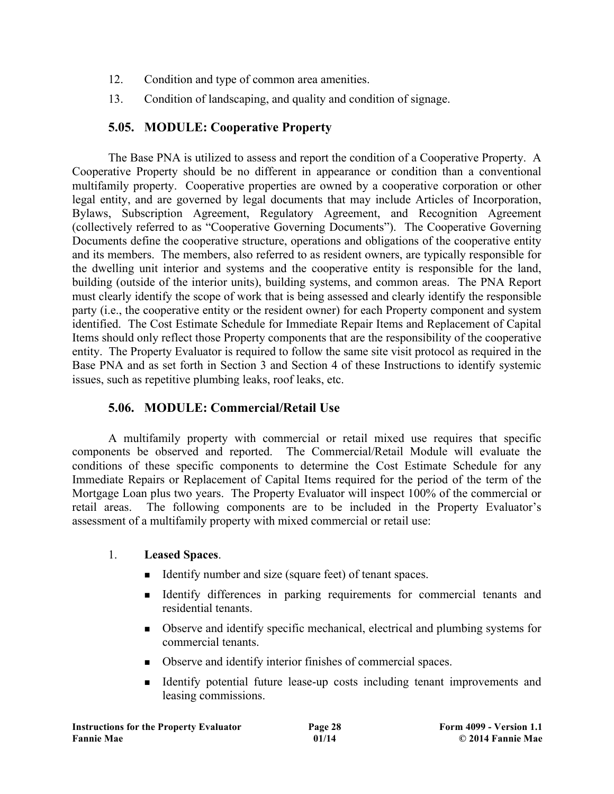- 12. Condition and type of common area amenities.
- 13. Condition of landscaping, and quality and condition of signage.

## **5.05. MODULE: Cooperative Property**

The Base PNA is utilized to assess and report the condition of a Cooperative Property. A Cooperative Property should be no different in appearance or condition than a conventional multifamily property. Cooperative properties are owned by a cooperative corporation or other legal entity, and are governed by legal documents that may include Articles of Incorporation, Bylaws, Subscription Agreement, Regulatory Agreement, and Recognition Agreement (collectively referred to as "Cooperative Governing Documents"). The Cooperative Governing Documents define the cooperative structure, operations and obligations of the cooperative entity and its members. The members, also referred to as resident owners, are typically responsible for the dwelling unit interior and systems and the cooperative entity is responsible for the land, building (outside of the interior units), building systems, and common areas. The PNA Report must clearly identify the scope of work that is being assessed and clearly identify the responsible party (i.e., the cooperative entity or the resident owner) for each Property component and system identified. The Cost Estimate Schedule for Immediate Repair Items and Replacement of Capital Items should only reflect those Property components that are the responsibility of the cooperative entity. The Property Evaluator is required to follow the same site visit protocol as required in the Base PNA and as set forth in Section 3 and Section 4 of these Instructions to identify systemic issues, such as repetitive plumbing leaks, roof leaks, etc.

## **5.06. MODULE: Commercial/Retail Use**

A multifamily property with commercial or retail mixed use requires that specific components be observed and reported. The Commercial/Retail Module will evaluate the conditions of these specific components to determine the Cost Estimate Schedule for any Immediate Repairs or Replacement of Capital Items required for the period of the term of the Mortgage Loan plus two years. The Property Evaluator will inspect 100% of the commercial or retail areas. The following components are to be included in the Property Evaluator's assessment of a multifamily property with mixed commercial or retail use:

#### 1. **Leased Spaces**.

- <sup>n</sup> Identify number and size (square feet) of tenant spaces.
- <sup>n</sup> Identify differences in parking requirements for commercial tenants and residential tenants.
- <sup>n</sup> Observe and identify specific mechanical, electrical and plumbing systems for commercial tenants.
- <sup>n</sup> Observe and identify interior finishes of commercial spaces.
- <sup>n</sup> Identify potential future lease-up costs including tenant improvements and leasing commissions.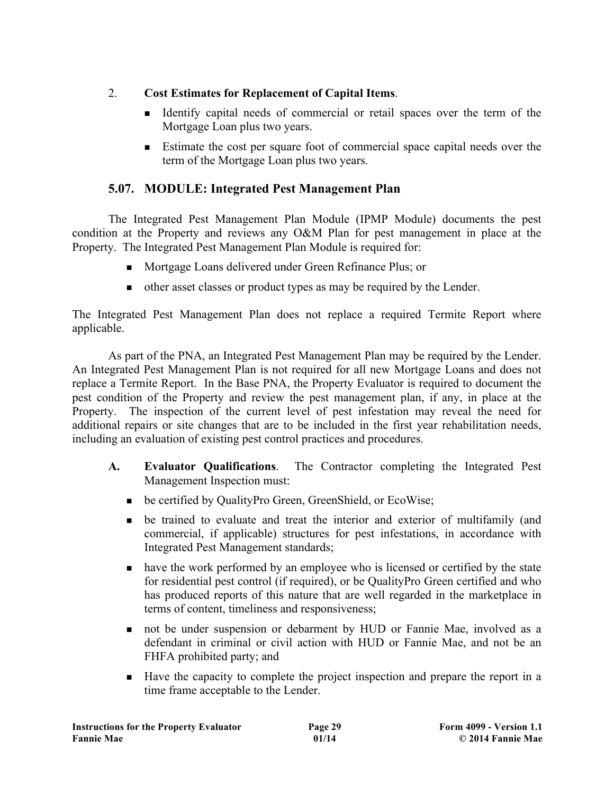# 2. **Cost Estimates for Replacement of Capital Items**.

- <sup>n</sup> Identify capital needs of commercial or retail spaces over the term of the Mortgage Loan plus two years.
- <sup>n</sup> Estimate the cost per square foot of commercial space capital needs over the term of the Mortgage Loan plus two years.

# **5.07. MODULE: Integrated Pest Management Plan**

The Integrated Pest Management Plan Module (IPMP Module) documents the pest condition at the Property and reviews any O&M Plan for pest management in place at the Property. The Integrated Pest Management Plan Module is required for:

- <sup>n</sup> Mortgage Loans delivered under Green Refinance Plus; or
- <sup>n</sup> other asset classes or product types as may be required by the Lender.

The Integrated Pest Management Plan does not replace a required Termite Report where applicable.

As part of the PNA, an Integrated Pest Management Plan may be required by the Lender. An Integrated Pest Management Plan is not required for all new Mortgage Loans and does not replace a Termite Report. In the Base PNA, the Property Evaluator is required to document the pest condition of the Property and review the pest management plan, if any, in place at the Property. The inspection of the current level of pest infestation may reveal the need for additional repairs or site changes that are to be included in the first year rehabilitation needs, including an evaluation of existing pest control practices and procedures.

- **A. Evaluator Qualifications**. The Contractor completing the Integrated Pest Management Inspection must:
	- be certified by QualityPro Green, GreenShield, or EcoWise;
	- <sup>n</sup> be trained to evaluate and treat the interior and exterior of multifamily (and commercial, if applicable) structures for pest infestations, in accordance with Integrated Pest Management standards;
	- n have the work performed by an employee who is licensed or certified by the state for residential pest control (if required), or be QualityPro Green certified and who has produced reports of this nature that are well regarded in the marketplace in terms of content, timeliness and responsiveness;
	- not be under suspension or debarment by HUD or Fannie Mae, involved as a defendant in criminal or civil action with HUD or Fannie Mae, and not be an FHFA prohibited party; and
	- <sup>n</sup> Have the capacity to complete the project inspection and prepare the report in a time frame acceptable to the Lender.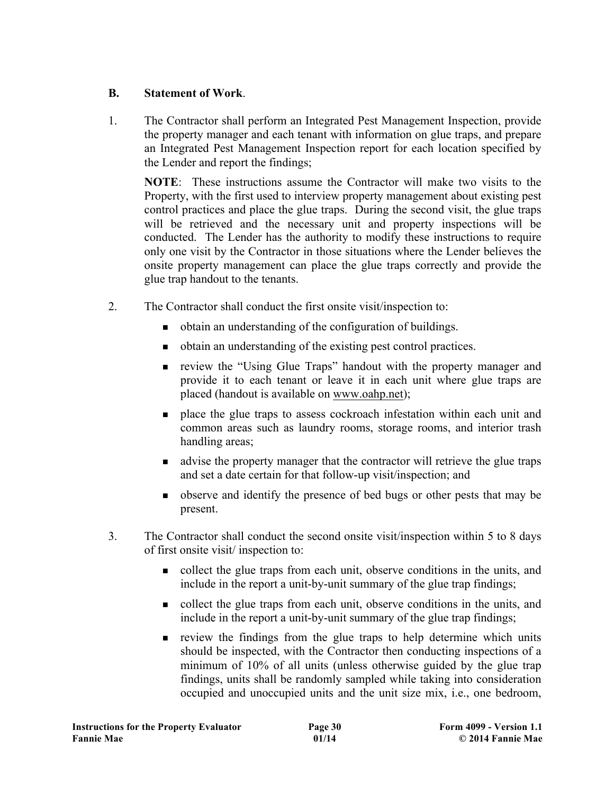## **B. Statement of Work**.

1. The Contractor shall perform an Integrated Pest Management Inspection, provide the property manager and each tenant with information on glue traps, and prepare an Integrated Pest Management Inspection report for each location specified by the Lender and report the findings;

**NOTE**: These instructions assume the Contractor will make two visits to the Property, with the first used to interview property management about existing pest control practices and place the glue traps. During the second visit, the glue traps will be retrieved and the necessary unit and property inspections will be conducted. The Lender has the authority to modify these instructions to require only one visit by the Contractor in those situations where the Lender believes the onsite property management can place the glue traps correctly and provide the glue trap handout to the tenants.

- 2. The Contractor shall conduct the first onsite visit/inspection to:
	- <sup>n</sup> obtain an understanding of the configuration of buildings.
	- <sup>n</sup> obtain an understanding of the existing pest control practices.
	- <sup>n</sup> review the "Using Glue Traps" handout with the property manager and provide it to each tenant or leave it in each unit where glue traps are placed (handout is available on www.oahp.net);
	- <sup>n</sup> place the glue traps to assess cockroach infestation within each unit and common areas such as laundry rooms, storage rooms, and interior trash handling areas;
	- <sup>n</sup> advise the property manager that the contractor will retrieve the glue traps and set a date certain for that follow-up visit/inspection; and
	- <sup>n</sup> observe and identify the presence of bed bugs or other pests that may be present.
- 3. The Contractor shall conduct the second onsite visit/inspection within 5 to 8 days of first onsite visit/ inspection to:
	- <sup>n</sup> collect the glue traps from each unit, observe conditions in the units, and include in the report a unit-by-unit summary of the glue trap findings;
	- <sup>n</sup> collect the glue traps from each unit, observe conditions in the units, and include in the report a unit-by-unit summary of the glue trap findings;
	- <sup>n</sup> review the findings from the glue traps to help determine which units should be inspected, with the Contractor then conducting inspections of a minimum of 10% of all units (unless otherwise guided by the glue trap findings, units shall be randomly sampled while taking into consideration occupied and unoccupied units and the unit size mix, i.e., one bedroom,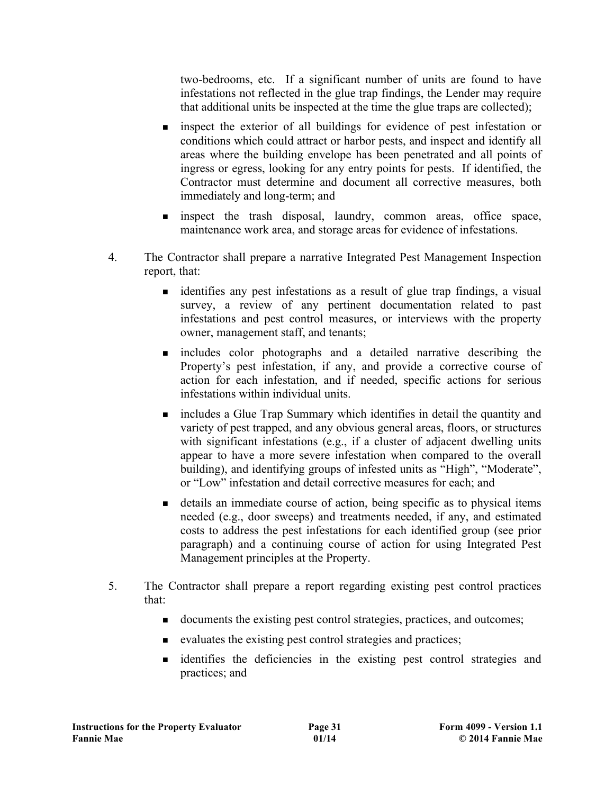two-bedrooms, etc. If a significant number of units are found to have infestations not reflected in the glue trap findings, the Lender may require that additional units be inspected at the time the glue traps are collected);

- n inspect the exterior of all buildings for evidence of pest infestation or conditions which could attract or harbor pests, and inspect and identify all areas where the building envelope has been penetrated and all points of ingress or egress, looking for any entry points for pests. If identified, the Contractor must determine and document all corrective measures, both immediately and long-term; and
- <sup>n</sup> inspect the trash disposal, laundry, common areas, office space, maintenance work area, and storage areas for evidence of infestations.
- 4. The Contractor shall prepare a narrative Integrated Pest Management Inspection report, that:
	- <sup>n</sup> identifies any pest infestations as a result of glue trap findings, a visual survey, a review of any pertinent documentation related to past infestations and pest control measures, or interviews with the property owner, management staff, and tenants;
	- <sup>n</sup> includes color photographs and a detailed narrative describing the Property's pest infestation, if any, and provide a corrective course of action for each infestation, and if needed, specific actions for serious infestations within individual units.
	- n includes a Glue Trap Summary which identifies in detail the quantity and variety of pest trapped, and any obvious general areas, floors, or structures with significant infestations (e.g., if a cluster of adjacent dwelling units appear to have a more severe infestation when compared to the overall building), and identifying groups of infested units as "High", "Moderate", or "Low" infestation and detail corrective measures for each; and
	- <sup>n</sup> details an immediate course of action, being specific as to physical items needed (e.g., door sweeps) and treatments needed, if any, and estimated costs to address the pest infestations for each identified group (see prior paragraph) and a continuing course of action for using Integrated Pest Management principles at the Property.
- 5. The Contractor shall prepare a report regarding existing pest control practices that:
	- <sup>n</sup> documents the existing pest control strategies, practices, and outcomes;
	- <sup>n</sup> evaluates the existing pest control strategies and practices;
	- <sup>n</sup> identifies the deficiencies in the existing pest control strategies and practices; and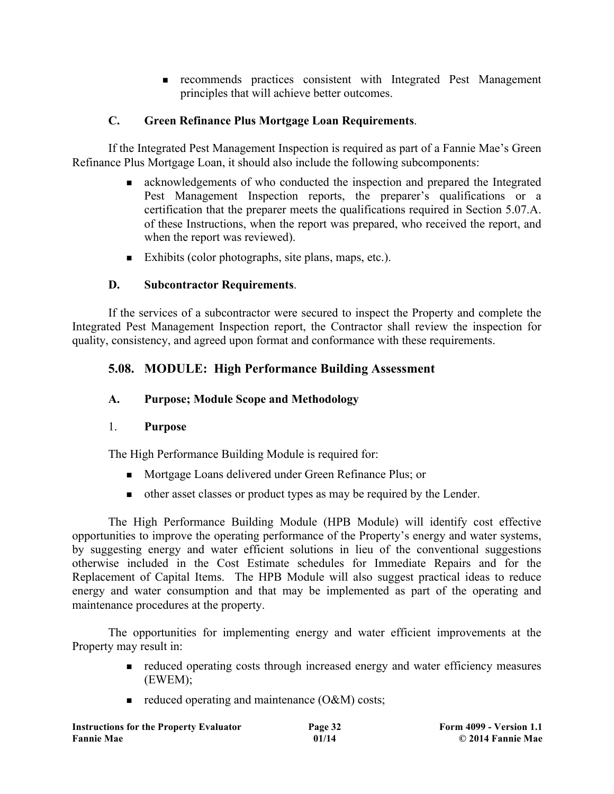<sup>n</sup> recommends practices consistent with Integrated Pest Management principles that will achieve better outcomes.

## **C. Green Refinance Plus Mortgage Loan Requirements**.

If the Integrated Pest Management Inspection is required as part of a Fannie Mae's Green Refinance Plus Mortgage Loan, it should also include the following subcomponents:

- <sup>n</sup> acknowledgements of who conducted the inspection and prepared the Integrated Pest Management Inspection reports, the preparer's qualifications or a certification that the preparer meets the qualifications required in Section 5.07.A. of these Instructions, when the report was prepared, who received the report, and when the report was reviewed).
- Exhibits (color photographs, site plans, maps, etc.).

#### **D. Subcontractor Requirements**.

If the services of a subcontractor were secured to inspect the Property and complete the Integrated Pest Management Inspection report, the Contractor shall review the inspection for quality, consistency, and agreed upon format and conformance with these requirements.

# **5.08. MODULE: High Performance Building Assessment**

#### **A. Purpose; Module Scope and Methodology**

#### 1. **Purpose**

The High Performance Building Module is required for:

- <sup>n</sup> Mortgage Loans delivered under Green Refinance Plus; or
- <sup>n</sup> other asset classes or product types as may be required by the Lender.

The High Performance Building Module (HPB Module) will identify cost effective opportunities to improve the operating performance of the Property's energy and water systems, by suggesting energy and water efficient solutions in lieu of the conventional suggestions otherwise included in the Cost Estimate schedules for Immediate Repairs and for the Replacement of Capital Items. The HPB Module will also suggest practical ideas to reduce energy and water consumption and that may be implemented as part of the operating and maintenance procedures at the property.

The opportunities for implementing energy and water efficient improvements at the Property may result in:

- <sup>n</sup> reduced operating costs through increased energy and water efficiency measures (EWEM);
- $\blacksquare$  reduced operating and maintenance (O&M) costs;

| <b>Instructions for the Property Evaluator</b> | Page 32 | <b>Form 4099 - Version 1.1</b> |
|------------------------------------------------|---------|--------------------------------|
| <b>Fannie Mae</b>                              | 01/14   | © 2014 Fannie Mae              |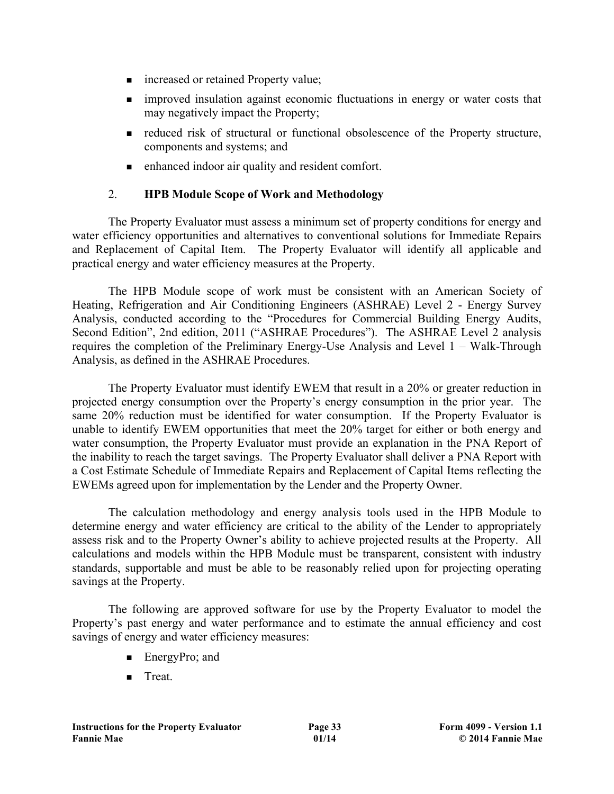- increased or retained Property value;
- n improved insulation against economic fluctuations in energy or water costs that may negatively impact the Property;
- <sup>n</sup> reduced risk of structural or functional obsolescence of the Property structure, components and systems; and
- n enhanced indoor air quality and resident comfort.

## 2. **HPB Module Scope of Work and Methodology**

The Property Evaluator must assess a minimum set of property conditions for energy and water efficiency opportunities and alternatives to conventional solutions for Immediate Repairs and Replacement of Capital Item. The Property Evaluator will identify all applicable and practical energy and water efficiency measures at the Property.

The HPB Module scope of work must be consistent with an American Society of Heating, Refrigeration and Air Conditioning Engineers (ASHRAE) Level 2 - Energy Survey Analysis, conducted according to the "Procedures for Commercial Building Energy Audits, Second Edition", 2nd edition, 2011 ("ASHRAE Procedures"). The ASHRAE Level 2 analysis requires the completion of the Preliminary Energy-Use Analysis and Level 1 – Walk-Through Analysis, as defined in the ASHRAE Procedures.

The Property Evaluator must identify EWEM that result in a 20% or greater reduction in projected energy consumption over the Property's energy consumption in the prior year. The same 20% reduction must be identified for water consumption. If the Property Evaluator is unable to identify EWEM opportunities that meet the 20% target for either or both energy and water consumption, the Property Evaluator must provide an explanation in the PNA Report of the inability to reach the target savings. The Property Evaluator shall deliver a PNA Report with a Cost Estimate Schedule of Immediate Repairs and Replacement of Capital Items reflecting the EWEMs agreed upon for implementation by the Lender and the Property Owner.

The calculation methodology and energy analysis tools used in the HPB Module to determine energy and water efficiency are critical to the ability of the Lender to appropriately assess risk and to the Property Owner's ability to achieve projected results at the Property. All calculations and models within the HPB Module must be transparent, consistent with industry standards, supportable and must be able to be reasonably relied upon for projecting operating savings at the Property.

The following are approved software for use by the Property Evaluator to model the Property's past energy and water performance and to estimate the annual efficiency and cost savings of energy and water efficiency measures:

- $\blacksquare$  EnergyPro; and
- $\blacksquare$  Treat.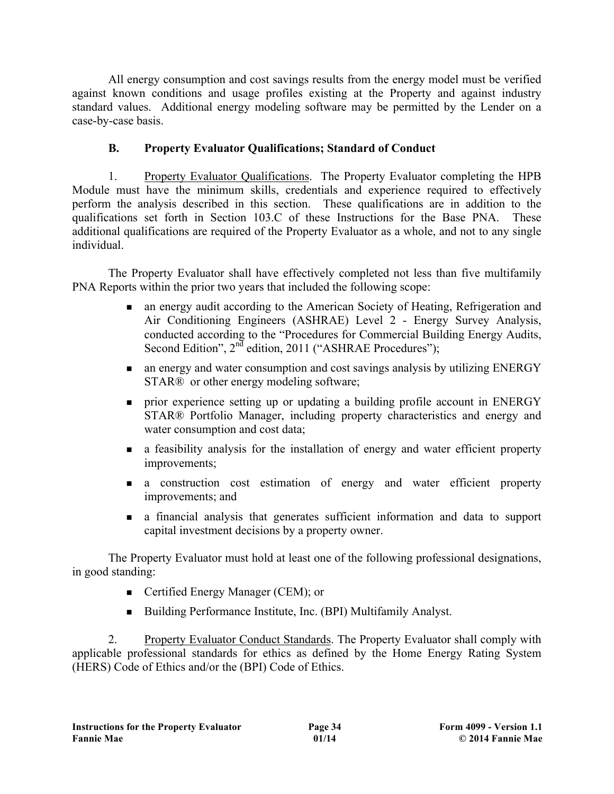All energy consumption and cost savings results from the energy model must be verified against known conditions and usage profiles existing at the Property and against industry standard values. Additional energy modeling software may be permitted by the Lender on a case-by-case basis.

# **B. Property Evaluator Qualifications; Standard of Conduct**

1. Property Evaluator Qualifications. The Property Evaluator completing the HPB Module must have the minimum skills, credentials and experience required to effectively perform the analysis described in this section. These qualifications are in addition to the qualifications set forth in Section 103.C of these Instructions for the Base PNA. These additional qualifications are required of the Property Evaluator as a whole, and not to any single individual.

The Property Evaluator shall have effectively completed not less than five multifamily PNA Reports within the prior two years that included the following scope:

- n an energy audit according to the American Society of Heating, Refrigeration and Air Conditioning Engineers (ASHRAE) Level 2 - Energy Survey Analysis, conducted according to the "Procedures for Commercial Building Energy Audits, Second Edition", 2<sup>nd</sup> edition, 2011 ("ASHRAE Procedures");
- n an energy and water consumption and cost savings analysis by utilizing ENERGY STAR<sup>®</sup> or other energy modeling software;
- n prior experience setting up or updating a building profile account in ENERGY STAR® Portfolio Manager, including property characteristics and energy and water consumption and cost data;
- <sup>n</sup> a feasibility analysis for the installation of energy and water efficient property improvements;
- <sup>n</sup> a construction cost estimation of energy and water efficient property improvements; and
- <sup>n</sup> a financial analysis that generates sufficient information and data to support capital investment decisions by a property owner.

The Property Evaluator must hold at least one of the following professional designations, in good standing:

- Certified Energy Manager (CEM); or
- <sup>n</sup> Building Performance Institute, Inc. (BPI) Multifamily Analyst.

2. Property Evaluator Conduct Standards. The Property Evaluator shall comply with applicable professional standards for ethics as defined by the Home Energy Rating System (HERS) Code of Ethics and/or the (BPI) Code of Ethics.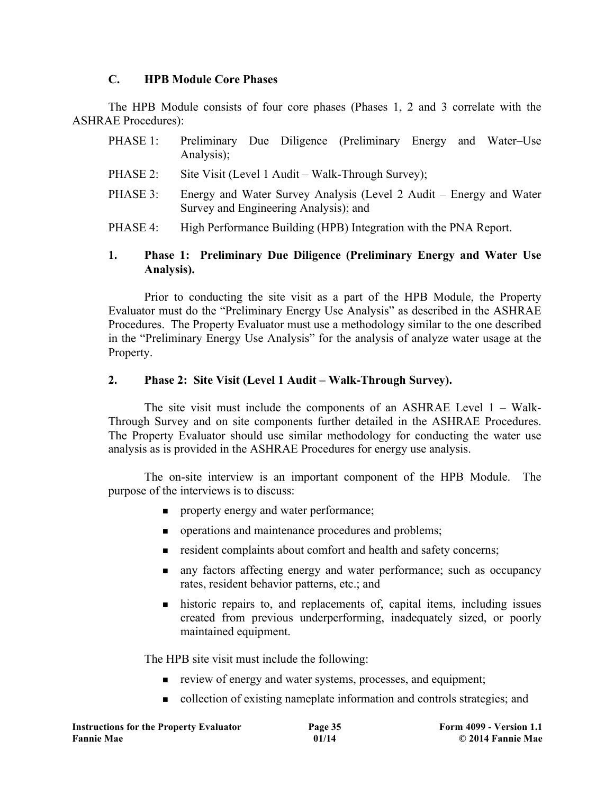#### **C. HPB Module Core Phases**

The HPB Module consists of four core phases (Phases 1, 2 and 3 correlate with the ASHRAE Procedures):

| PHASE 1: | Preliminary Due Diligence (Preliminary Energy and Water–Use<br>Analysis);                                   |  |  |  |  |  |
|----------|-------------------------------------------------------------------------------------------------------------|--|--|--|--|--|
| PHASE 2: | Site Visit (Level 1 Audit – Walk-Through Survey);                                                           |  |  |  |  |  |
| PHASE 3: | Energy and Water Survey Analysis (Level 2 Audit – Energy and Water<br>Survey and Engineering Analysis); and |  |  |  |  |  |
|          |                                                                                                             |  |  |  |  |  |

PHASE 4: High Performance Building (HPB) Integration with the PNA Report.

#### **1. Phase 1: Preliminary Due Diligence (Preliminary Energy and Water Use Analysis).**

Prior to conducting the site visit as a part of the HPB Module, the Property Evaluator must do the "Preliminary Energy Use Analysis" as described in the ASHRAE Procedures. The Property Evaluator must use a methodology similar to the one described in the "Preliminary Energy Use Analysis" for the analysis of analyze water usage at the Property.

#### **2. Phase 2: Site Visit (Level 1 Audit – Walk-Through Survey).**

The site visit must include the components of an ASHRAE Level 1 – Walk-Through Survey and on site components further detailed in the ASHRAE Procedures. The Property Evaluator should use similar methodology for conducting the water use analysis as is provided in the ASHRAE Procedures for energy use analysis.

The on-site interview is an important component of the HPB Module. The purpose of the interviews is to discuss:

- n property energy and water performance;
- **n** operations and maintenance procedures and problems;
- n resident complaints about comfort and health and safety concerns;
- n any factors affecting energy and water performance; such as occupancy rates, resident behavior patterns, etc.; and
- $\blacksquare$  historic repairs to, and replacements of, capital items, including issues created from previous underperforming, inadequately sized, or poorly maintained equipment.

The HPB site visit must include the following:

- n review of energy and water systems, processes, and equipment;
- n collection of existing nameplate information and controls strategies; and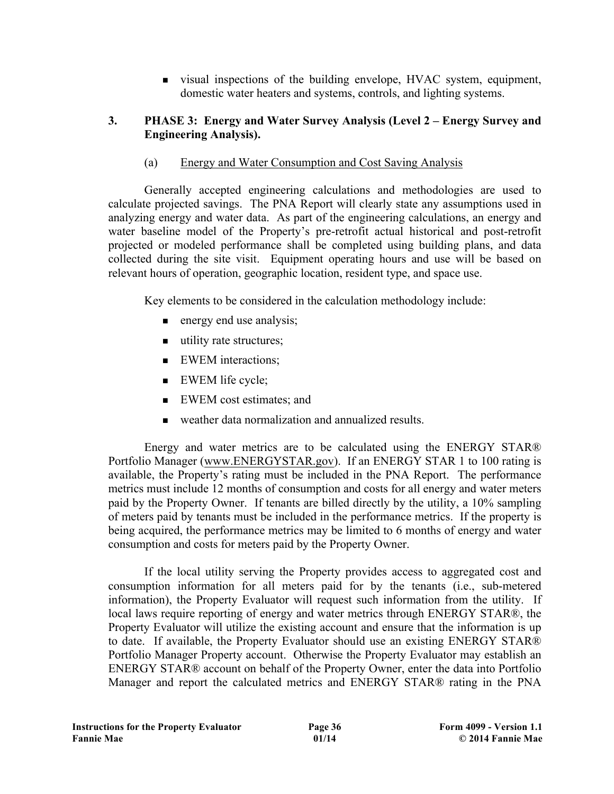<sup>n</sup> visual inspections of the building envelope, HVAC system, equipment, domestic water heaters and systems, controls, and lighting systems.

#### **3. PHASE 3: Energy and Water Survey Analysis (Level 2 – Energy Survey and Engineering Analysis).**

(a) Energy and Water Consumption and Cost Saving Analysis

Generally accepted engineering calculations and methodologies are used to calculate projected savings. The PNA Report will clearly state any assumptions used in analyzing energy and water data. As part of the engineering calculations, an energy and water baseline model of the Property's pre-retrofit actual historical and post-retrofit projected or modeled performance shall be completed using building plans, and data collected during the site visit. Equipment operating hours and use will be based on relevant hours of operation, geographic location, resident type, and space use.

Key elements to be considered in the calculation methodology include:

- $\blacksquare$  energy end use analysis;
- $\blacksquare$  utility rate structures;
- **NORGIVEM** interactions:
- $\blacksquare$  EWEM life cycle;
- **NORGER EWEM** cost estimates; and
- <sup>n</sup> weather data normalization and annualized results.

Energy and water metrics are to be calculated using the ENERGY STAR® Portfolio Manager (www.ENERGYSTAR.gov). If an ENERGY STAR 1 to 100 rating is available, the Property's rating must be included in the PNA Report. The performance metrics must include 12 months of consumption and costs for all energy and water meters paid by the Property Owner. If tenants are billed directly by the utility, a 10% sampling of meters paid by tenants must be included in the performance metrics. If the property is being acquired, the performance metrics may be limited to 6 months of energy and water consumption and costs for meters paid by the Property Owner.

If the local utility serving the Property provides access to aggregated cost and consumption information for all meters paid for by the tenants (i.e., sub-metered information), the Property Evaluator will request such information from the utility. If local laws require reporting of energy and water metrics through ENERGY STAR®, the Property Evaluator will utilize the existing account and ensure that the information is up to date. If available, the Property Evaluator should use an existing ENERGY STAR® Portfolio Manager Property account. Otherwise the Property Evaluator may establish an ENERGY STAR® account on behalf of the Property Owner, enter the data into Portfolio Manager and report the calculated metrics and ENERGY STAR® rating in the PNA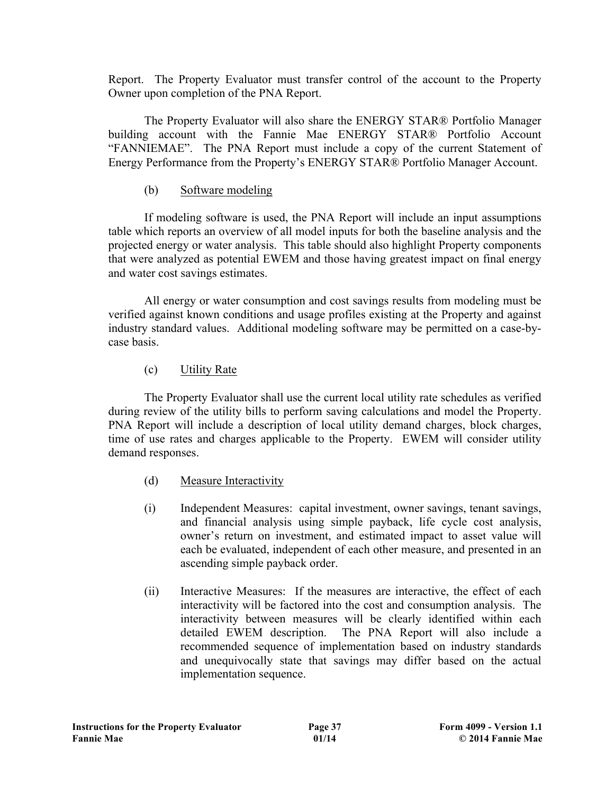Report. The Property Evaluator must transfer control of the account to the Property Owner upon completion of the PNA Report.

The Property Evaluator will also share the ENERGY STAR® Portfolio Manager building account with the Fannie Mae ENERGY STAR® Portfolio Account "FANNIEMAE". The PNA Report must include a copy of the current Statement of Energy Performance from the Property's ENERGY STAR® Portfolio Manager Account.

#### (b) Software modeling

If modeling software is used, the PNA Report will include an input assumptions table which reports an overview of all model inputs for both the baseline analysis and the projected energy or water analysis. This table should also highlight Property components that were analyzed as potential EWEM and those having greatest impact on final energy and water cost savings estimates.

All energy or water consumption and cost savings results from modeling must be verified against known conditions and usage profiles existing at the Property and against industry standard values. Additional modeling software may be permitted on a case-bycase basis.

#### (c) Utility Rate

The Property Evaluator shall use the current local utility rate schedules as verified during review of the utility bills to perform saving calculations and model the Property. PNA Report will include a description of local utility demand charges, block charges, time of use rates and charges applicable to the Property. EWEM will consider utility demand responses.

- (d) Measure Interactivity
- (i) Independent Measures: capital investment, owner savings, tenant savings, and financial analysis using simple payback, life cycle cost analysis, owner's return on investment, and estimated impact to asset value will each be evaluated, independent of each other measure, and presented in an ascending simple payback order.
- (ii) Interactive Measures: If the measures are interactive, the effect of each interactivity will be factored into the cost and consumption analysis. The interactivity between measures will be clearly identified within each detailed EWEM description. The PNA Report will also include a recommended sequence of implementation based on industry standards and unequivocally state that savings may differ based on the actual implementation sequence.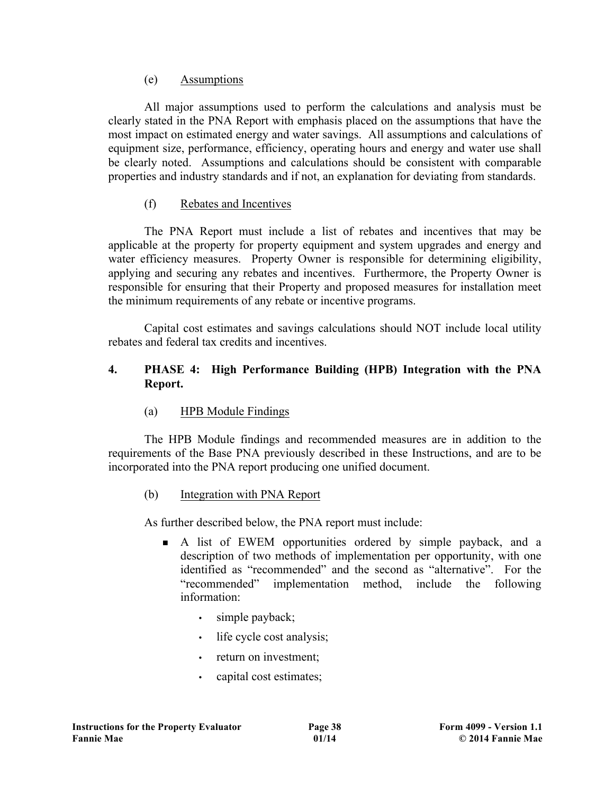#### (e) Assumptions

All major assumptions used to perform the calculations and analysis must be clearly stated in the PNA Report with emphasis placed on the assumptions that have the most impact on estimated energy and water savings. All assumptions and calculations of equipment size, performance, efficiency, operating hours and energy and water use shall be clearly noted. Assumptions and calculations should be consistent with comparable properties and industry standards and if not, an explanation for deviating from standards.

## (f) Rebates and Incentives

The PNA Report must include a list of rebates and incentives that may be applicable at the property for property equipment and system upgrades and energy and water efficiency measures. Property Owner is responsible for determining eligibility, applying and securing any rebates and incentives. Furthermore, the Property Owner is responsible for ensuring that their Property and proposed measures for installation meet the minimum requirements of any rebate or incentive programs.

Capital cost estimates and savings calculations should NOT include local utility rebates and federal tax credits and incentives.

#### **4. PHASE 4: High Performance Building (HPB) Integration with the PNA Report.**

(a) HPB Module Findings

The HPB Module findings and recommended measures are in addition to the requirements of the Base PNA previously described in these Instructions, and are to be incorporated into the PNA report producing one unified document.

## (b) Integration with PNA Report

As further described below, the PNA report must include:

- <sup>n</sup> A list of EWEM opportunities ordered by simple payback, and a description of two methods of implementation per opportunity, with one identified as "recommended" and the second as "alternative". For the "recommended" implementation method, include the following information:
	- simple payback;
	- life cycle cost analysis;
	- return on investment;
	- capital cost estimates;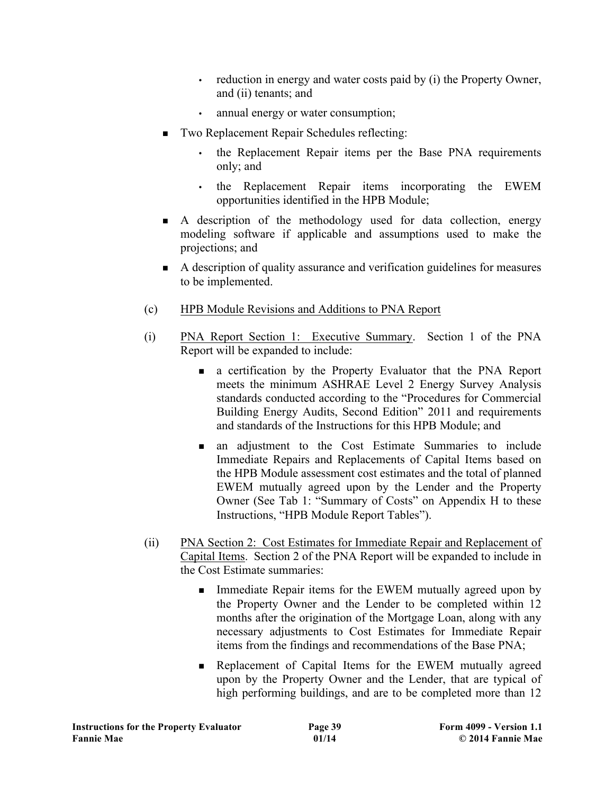- reduction in energy and water costs paid by (i) the Property Owner, and (ii) tenants; and
- annual energy or water consumption;
- Two Replacement Repair Schedules reflecting:
	- the Replacement Repair items per the Base PNA requirements only; and
	- the Replacement Repair items incorporating the EWEM opportunities identified in the HPB Module;
- <sup>n</sup> A description of the methodology used for data collection, energy modeling software if applicable and assumptions used to make the projections; and
- <sup>n</sup> A description of quality assurance and verification guidelines for measures to be implemented.
- (c) HPB Module Revisions and Additions to PNA Report
- (i) PNA Report Section 1: Executive Summary. Section 1 of the PNA Report will be expanded to include:
	- <sup>n</sup> a certification by the Property Evaluator that the PNA Report meets the minimum ASHRAE Level 2 Energy Survey Analysis standards conducted according to the "Procedures for Commercial Building Energy Audits, Second Edition" 2011 and requirements and standards of the Instructions for this HPB Module; and
	- <sup>n</sup> an adjustment to the Cost Estimate Summaries to include Immediate Repairs and Replacements of Capital Items based on the HPB Module assessment cost estimates and the total of planned EWEM mutually agreed upon by the Lender and the Property Owner (See Tab 1: "Summary of Costs" on Appendix H to these Instructions, "HPB Module Report Tables").
- (ii) PNA Section 2: Cost Estimates for Immediate Repair and Replacement of Capital Items. Section 2 of the PNA Report will be expanded to include in the Cost Estimate summaries:
	- **n** Immediate Repair items for the EWEM mutually agreed upon by the Property Owner and the Lender to be completed within 12 months after the origination of the Mortgage Loan, along with any necessary adjustments to Cost Estimates for Immediate Repair items from the findings and recommendations of the Base PNA;
	- <sup>n</sup> Replacement of Capital Items for the EWEM mutually agreed upon by the Property Owner and the Lender, that are typical of high performing buildings, and are to be completed more than 12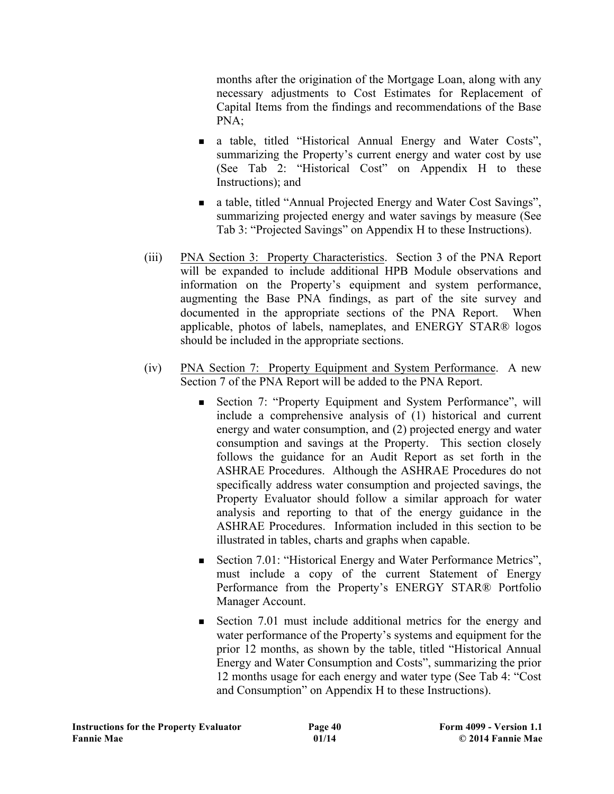months after the origination of the Mortgage Loan, along with any necessary adjustments to Cost Estimates for Replacement of Capital Items from the findings and recommendations of the Base PNA;

- n a table, titled "Historical Annual Energy and Water Costs", summarizing the Property's current energy and water cost by use (See Tab 2: "Historical Cost" on Appendix H to these Instructions); and
- a table, titled "Annual Projected Energy and Water Cost Savings", summarizing projected energy and water savings by measure (See Tab 3: "Projected Savings" on Appendix H to these Instructions).
- (iii) PNA Section 3: Property Characteristics. Section 3 of the PNA Report will be expanded to include additional HPB Module observations and information on the Property's equipment and system performance, augmenting the Base PNA findings, as part of the site survey and documented in the appropriate sections of the PNA Report. When applicable, photos of labels, nameplates, and ENERGY STAR® logos should be included in the appropriate sections.
- (iv) PNA Section 7: Property Equipment and System Performance. A new Section 7 of the PNA Report will be added to the PNA Report.
	- Section 7: "Property Equipment and System Performance", will include a comprehensive analysis of (1) historical and current energy and water consumption, and (2) projected energy and water consumption and savings at the Property. This section closely follows the guidance for an Audit Report as set forth in the ASHRAE Procedures. Although the ASHRAE Procedures do not specifically address water consumption and projected savings, the Property Evaluator should follow a similar approach for water analysis and reporting to that of the energy guidance in the ASHRAE Procedures. Information included in this section to be illustrated in tables, charts and graphs when capable.
	- Section 7.01: "Historical Energy and Water Performance Metrics", must include a copy of the current Statement of Energy Performance from the Property's ENERGY STAR® Portfolio Manager Account.
	- <sup>n</sup> Section 7.01 must include additional metrics for the energy and water performance of the Property's systems and equipment for the prior 12 months, as shown by the table, titled "Historical Annual Energy and Water Consumption and Costs", summarizing the prior 12 months usage for each energy and water type (See Tab 4: "Cost and Consumption" on Appendix H to these Instructions).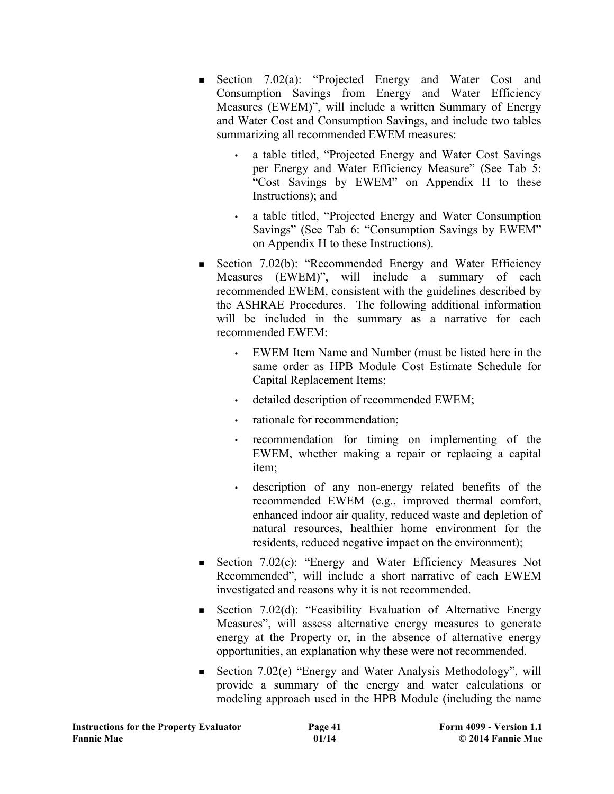- <sup>n</sup> Section 7.02(a): "Projected Energy and Water Cost and Consumption Savings from Energy and Water Efficiency Measures (EWEM)", will include a written Summary of Energy and Water Cost and Consumption Savings, and include two tables summarizing all recommended EWEM measures:
	- a table titled, "Projected Energy and Water Cost Savings per Energy and Water Efficiency Measure" (See Tab 5: "Cost Savings by EWEM" on Appendix H to these Instructions); and
	- a table titled, "Projected Energy and Water Consumption Savings" (See Tab 6: "Consumption Savings by EWEM" on Appendix H to these Instructions).
- Section 7.02(b): "Recommended Energy and Water Efficiency Measures (EWEM)", will include a summary of each recommended EWEM, consistent with the guidelines described by the ASHRAE Procedures. The following additional information will be included in the summary as a narrative for each recommended EWEM:
	- EWEM Item Name and Number (must be listed here in the same order as HPB Module Cost Estimate Schedule for Capital Replacement Items;
	- detailed description of recommended EWEM;
	- rationale for recommendation;
	- recommendation for timing on implementing of the EWEM, whether making a repair or replacing a capital item;
	- description of any non-energy related benefits of the recommended EWEM (e.g., improved thermal comfort, enhanced indoor air quality, reduced waste and depletion of natural resources, healthier home environment for the residents, reduced negative impact on the environment);
- Section 7.02(c): "Energy and Water Efficiency Measures Not Recommended", will include a short narrative of each EWEM investigated and reasons why it is not recommended.
- Section 7.02(d): "Feasibility Evaluation of Alternative Energy Measures", will assess alternative energy measures to generate energy at the Property or, in the absence of alternative energy opportunities, an explanation why these were not recommended.
- Section 7.02(e) "Energy and Water Analysis Methodology", will provide a summary of the energy and water calculations or modeling approach used in the HPB Module (including the name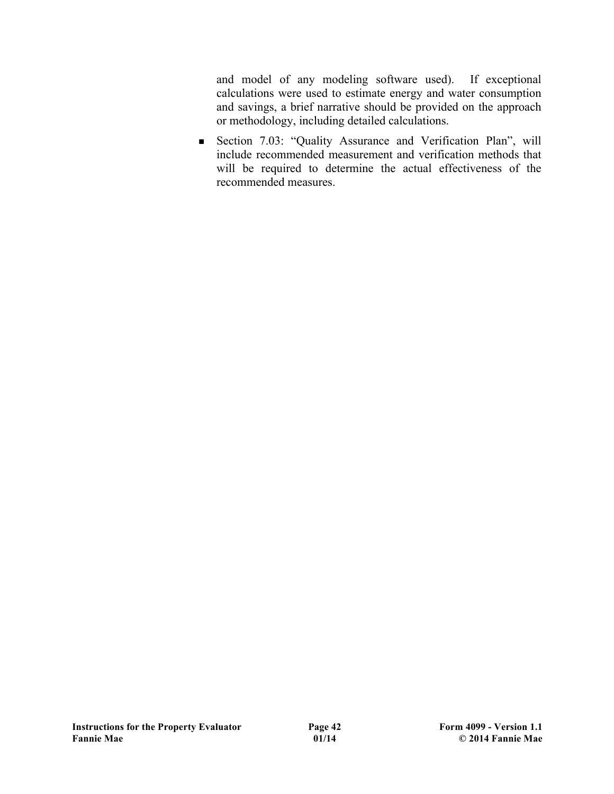and model of any modeling software used). If exceptional calculations were used to estimate energy and water consumption and savings, a brief narrative should be provided on the approach or methodology, including detailed calculations.

<sup>n</sup> Section 7.03: "Quality Assurance and Verification Plan", will include recommended measurement and verification methods that will be required to determine the actual effectiveness of the recommended measures.